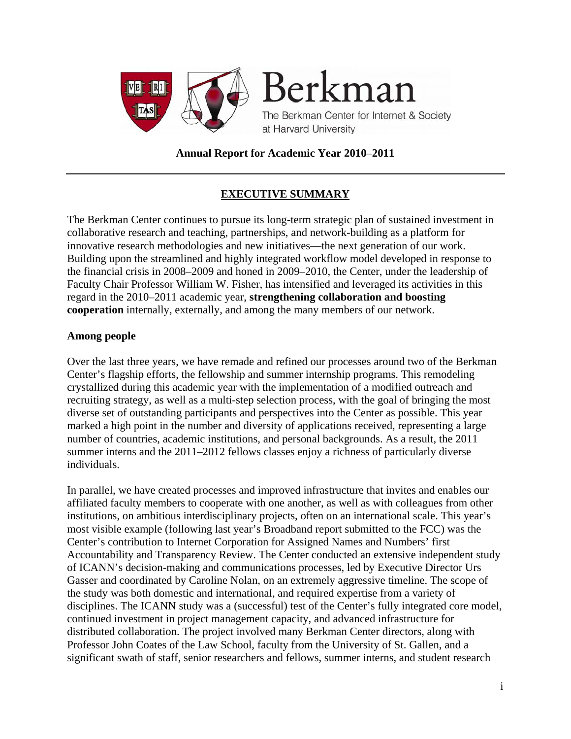

**Annual Report for Academic Year 2010**–**2011** 

# **EXECUTIVE SUMMARY**

The Berkman Center continues to pursue its long-term strategic plan of sustained investment in collaborative research and teaching, partnerships, and network-building as a platform for innovative research methodologies and new initiatives—the next generation of our work. Building upon the streamlined and highly integrated workflow model developed in response to the financial crisis in 2008–2009 and honed in 2009–2010, the Center, under the leadership of Faculty Chair Professor William W. Fisher, has intensified and leveraged its activities in this regard in the 2010–2011 academic year, **strengthening collaboration and boosting cooperation** internally, externally, and among the many members of our network.

#### **Among people**

Over the last three years, we have remade and refined our processes around two of the Berkman Center's flagship efforts, the fellowship and summer internship programs. This remodeling crystallized during this academic year with the implementation of a modified outreach and recruiting strategy, as well as a multi-step selection process, with the goal of bringing the most diverse set of outstanding participants and perspectives into the Center as possible. This year marked a high point in the number and diversity of applications received, representing a large number of countries, academic institutions, and personal backgrounds. As a result, the 2011 summer interns and the 2011–2012 fellows classes enjoy a richness of particularly diverse individuals.

In parallel, we have created processes and improved infrastructure that invites and enables our affiliated faculty members to cooperate with one another, as well as with colleagues from other institutions, on ambitious interdisciplinary projects, often on an international scale. This year's most visible example (following last year's Broadband report submitted to the FCC) was the Center's contribution to Internet Corporation for Assigned Names and Numbers' first Accountability and Transparency Review. The Center conducted an extensive independent study of ICANN's decision-making and communications processes, led by Executive Director Urs Gasser and coordinated by Caroline Nolan, on an extremely aggressive timeline. The scope of the study was both domestic and international, and required expertise from a variety of disciplines. The ICANN study was a (successful) test of the Center's fully integrated core model, continued investment in project management capacity, and advanced infrastructure for distributed collaboration. The project involved many Berkman Center directors, along with Professor John Coates of the Law School, faculty from the University of St. Gallen, and a significant swath of staff, senior researchers and fellows, summer interns, and student research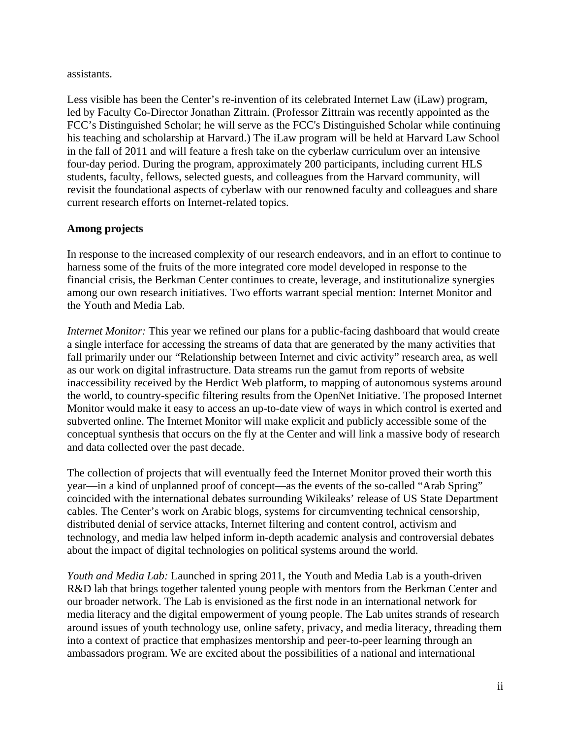#### assistants.

Less visible has been the Center's re-invention of its celebrated Internet Law (iLaw) program, led by Faculty Co-Director Jonathan Zittrain. (Professor Zittrain was recently appointed as the FCC's Distinguished Scholar; he will serve as the FCC's Distinguished Scholar while continuing his teaching and scholarship at Harvard.) The iLaw program will be held at Harvard Law School in the fall of 2011 and will feature a fresh take on the cyberlaw curriculum over an intensive four-day period. During the program, approximately 200 participants, including current HLS students, faculty, fellows, selected guests, and colleagues from the Harvard community, will revisit the foundational aspects of cyberlaw with our renowned faculty and colleagues and share current research efforts on Internet-related topics.

#### **Among projects**

In response to the increased complexity of our research endeavors, and in an effort to continue to harness some of the fruits of the more integrated core model developed in response to the financial crisis, the Berkman Center continues to create, leverage, and institutionalize synergies among our own research initiatives. Two efforts warrant special mention: Internet Monitor and the Youth and Media Lab.

*Internet Monitor:* This year we refined our plans for a public-facing dashboard that would create a single interface for accessing the streams of data that are generated by the many activities that fall primarily under our "Relationship between Internet and civic activity" research area, as well as our work on digital infrastructure. Data streams run the gamut from reports of website inaccessibility received by the Herdict Web platform, to mapping of autonomous systems around the world, to country-specific filtering results from the OpenNet Initiative. The proposed Internet Monitor would make it easy to access an up-to-date view of ways in which control is exerted and subverted online. The Internet Monitor will make explicit and publicly accessible some of the conceptual synthesis that occurs on the fly at the Center and will link a massive body of research and data collected over the past decade.

The collection of projects that will eventually feed the Internet Monitor proved their worth this year—in a kind of unplanned proof of concept—as the events of the so-called "Arab Spring" coincided with the international debates surrounding Wikileaks' release of US State Department cables. The Center's work on Arabic blogs, systems for circumventing technical censorship, distributed denial of service attacks, Internet filtering and content control, activism and technology, and media law helped inform in-depth academic analysis and controversial debates about the impact of digital technologies on political systems around the world.

*Youth and Media Lab:* Launched in spring 2011, the Youth and Media Lab is a youth-driven R&D lab that brings together talented young people with mentors from the Berkman Center and our broader network. The Lab is envisioned as the first node in an international network for media literacy and the digital empowerment of young people. The Lab unites strands of research around issues of youth technology use, online safety, privacy, and media literacy, threading them into a context of practice that emphasizes mentorship and peer-to-peer learning through an ambassadors program. We are excited about the possibilities of a national and international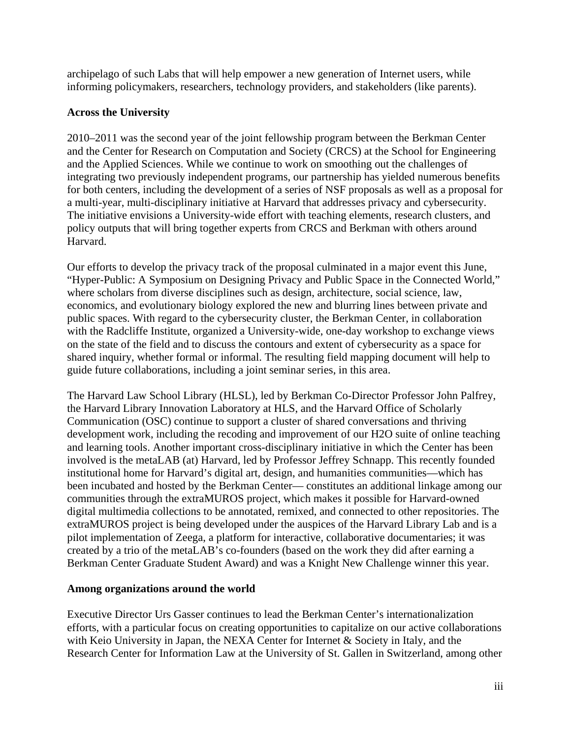archipelago of such Labs that will help empower a new generation of Internet users, while informing policymakers, researchers, technology providers, and stakeholders (like parents).

## **Across the University**

2010–2011 was the second year of the joint fellowship program between the Berkman Center and the Center for Research on Computation and Society (CRCS) at the School for Engineering and the Applied Sciences. While we continue to work on smoothing out the challenges of integrating two previously independent programs, our partnership has yielded numerous benefits for both centers, including the development of a series of NSF proposals as well as a proposal for a multi-year, multi-disciplinary initiative at Harvard that addresses privacy and cybersecurity. The initiative envisions a University-wide effort with teaching elements, research clusters, and policy outputs that will bring together experts from CRCS and Berkman with others around Harvard.

Our efforts to develop the privacy track of the proposal culminated in a major event this June, "Hyper-Public: A Symposium on Designing Privacy and Public Space in the Connected World," where scholars from diverse disciplines such as design, architecture, social science, law, economics, and evolutionary biology explored the new and blurring lines between private and public spaces. With regard to the cybersecurity cluster, the Berkman Center, in collaboration with the Radcliffe Institute, organized a University-wide, one-day workshop to exchange views on the state of the field and to discuss the contours and extent of cybersecurity as a space for shared inquiry, whether formal or informal. The resulting field mapping document will help to guide future collaborations, including a joint seminar series, in this area.

The Harvard Law School Library (HLSL), led by Berkman Co-Director Professor John Palfrey, the Harvard Library Innovation Laboratory at HLS, and the Harvard Office of Scholarly Communication (OSC) continue to support a cluster of shared conversations and thriving development work, including the recoding and improvement of our H2O suite of online teaching and learning tools. Another important cross-disciplinary initiative in which the Center has been involved is the metaLAB (at) Harvard, led by Professor Jeffrey Schnapp. This recently founded institutional home for Harvard's digital art, design, and humanities communities—which has been incubated and hosted by the Berkman Center— constitutes an additional linkage among our communities through the extraMUROS project, which makes it possible for Harvard-owned digital multimedia collections to be annotated, remixed, and connected to other repositories. The extraMUROS project is being developed under the auspices of the Harvard Library Lab and is a pilot implementation of Zeega, a platform for interactive, collaborative documentaries; it was created by a trio of the metaLAB's co-founders (based on the work they did after earning a Berkman Center Graduate Student Award) and was a Knight New Challenge winner this year.

## **Among organizations around the world**

Executive Director Urs Gasser continues to lead the Berkman Center's internationalization efforts, with a particular focus on creating opportunities to capitalize on our active collaborations with Keio University in Japan, the NEXA Center for Internet & Society in Italy, and the Research Center for Information Law at the University of St. Gallen in Switzerland, among other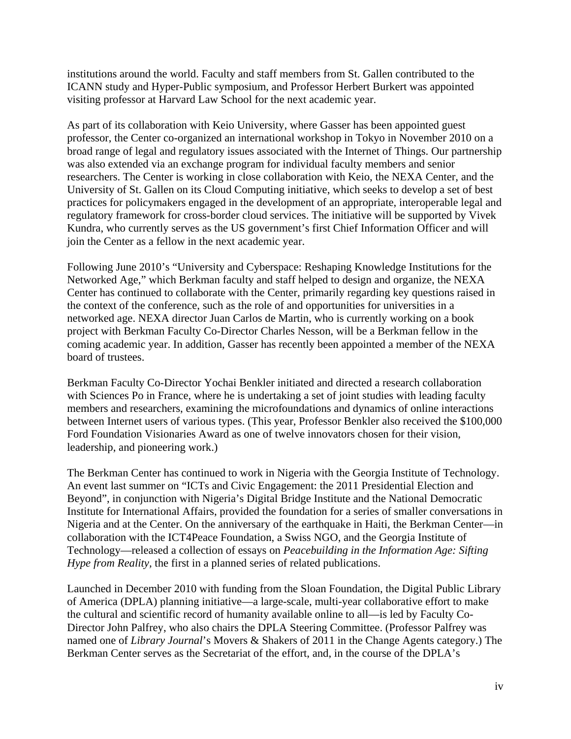institutions around the world. Faculty and staff members from St. Gallen contributed to the ICANN study and Hyper-Public symposium, and Professor Herbert Burkert was appointed visiting professor at Harvard Law School for the next academic year.

As part of its collaboration with Keio University, where Gasser has been appointed guest professor, the Center co-organized an international workshop in Tokyo in November 2010 on a broad range of legal and regulatory issues associated with the Internet of Things. Our partnership was also extended via an exchange program for individual faculty members and senior researchers. The Center is working in close collaboration with Keio, the NEXA Center, and the University of St. Gallen on its Cloud Computing initiative, which seeks to develop a set of best practices for policymakers engaged in the development of an appropriate, interoperable legal and regulatory framework for cross-border cloud services. The initiative will be supported by Vivek Kundra, who currently serves as the US government's first Chief Information Officer and will join the Center as a fellow in the next academic year.

Following June 2010's "University and Cyberspace: Reshaping Knowledge Institutions for the Networked Age," which Berkman faculty and staff helped to design and organize, the NEXA Center has continued to collaborate with the Center, primarily regarding key questions raised in the context of the conference, such as the role of and opportunities for universities in a networked age. NEXA director Juan Carlos de Martin, who is currently working on a book project with Berkman Faculty Co-Director Charles Nesson, will be a Berkman fellow in the coming academic year. In addition, Gasser has recently been appointed a member of the NEXA board of trustees.

Berkman Faculty Co-Director Yochai Benkler initiated and directed a research collaboration with Sciences Po in France, where he is undertaking a set of joint studies with leading faculty members and researchers, examining the microfoundations and dynamics of online interactions between Internet users of various types. (This year, Professor Benkler also received the \$100,000 Ford Foundation Visionaries Award as one of twelve innovators chosen for their vision, leadership, and pioneering work.)

The Berkman Center has continued to work in Nigeria with the Georgia Institute of Technology. An event last summer on "ICTs and Civic Engagement: the 2011 Presidential Election and Beyond", in conjunction with Nigeria's Digital Bridge Institute and the National Democratic Institute for International Affairs, provided the foundation for a series of smaller conversations in Nigeria and at the Center. On the anniversary of the earthquake in Haiti, the Berkman Center—in collaboration with the ICT4Peace Foundation, a Swiss NGO, and the Georgia Institute of Technology—released a collection of essays on *Peacebuilding in the Information Age: Sifting Hype from Reality, the first in a planned series of related publications.* 

Launched in December 2010 with funding from the Sloan Foundation, the Digital Public Library of America (DPLA) planning initiative—a large-scale, multi-year collaborative effort to make the cultural and scientific record of humanity available online to all—is led by Faculty Co-Director John Palfrey, who also chairs the DPLA Steering Committee. (Professor Palfrey was named one of *Library Journal*'s Movers & Shakers of 2011 in the Change Agents category.) The Berkman Center serves as the Secretariat of the effort, and, in the course of the DPLA's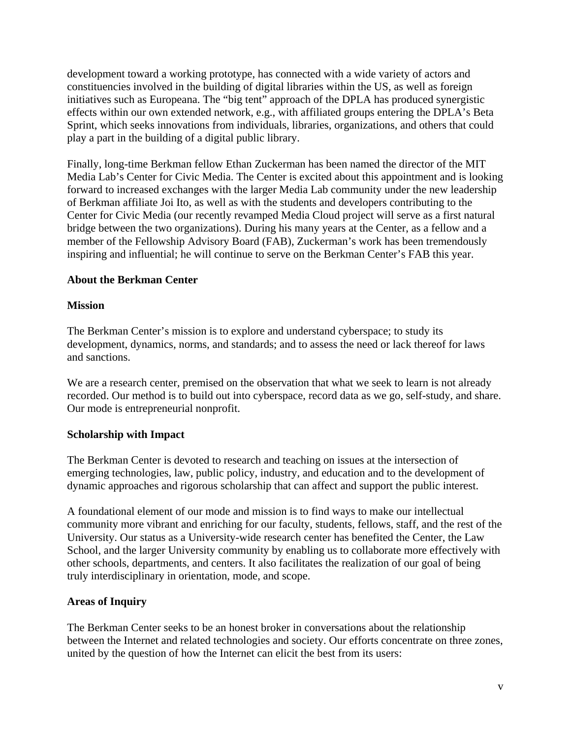development toward a working prototype, has connected with a wide variety of actors and constituencies involved in the building of digital libraries within the US, as well as foreign initiatives such as Europeana. The "big tent" approach of the DPLA has produced synergistic effects within our own extended network, e.g., with affiliated groups entering the DPLA's Beta Sprint, which seeks innovations from individuals, libraries, organizations, and others that could play a part in the building of a digital public library.

Finally, long-time Berkman fellow Ethan Zuckerman has been named the director of the MIT Media Lab's Center for Civic Media. The Center is excited about this appointment and is looking forward to increased exchanges with the larger Media Lab community under the new leadership of Berkman affiliate Joi Ito, as well as with the students and developers contributing to the Center for Civic Media (our recently revamped Media Cloud project will serve as a first natural bridge between the two organizations). During his many years at the Center, as a fellow and a member of the Fellowship Advisory Board (FAB), Zuckerman's work has been tremendously inspiring and influential; he will continue to serve on the Berkman Center's FAB this year.

#### **About the Berkman Center**

#### **Mission**

The Berkman Center's mission is to explore and understand cyberspace; to study its development, dynamics, norms, and standards; and to assess the need or lack thereof for laws and sanctions.

We are a research center, premised on the observation that what we seek to learn is not already recorded. Our method is to build out into cyberspace, record data as we go, self-study, and share. Our mode is entrepreneurial nonprofit.

#### **Scholarship with Impact**

The Berkman Center is devoted to research and teaching on issues at the intersection of emerging technologies, law, public policy, industry, and education and to the development of dynamic approaches and rigorous scholarship that can affect and support the public interest.

A foundational element of our mode and mission is to find ways to make our intellectual community more vibrant and enriching for our faculty, students, fellows, staff, and the rest of the University. Our status as a University-wide research center has benefited the Center, the Law School, and the larger University community by enabling us to collaborate more effectively with other schools, departments, and centers. It also facilitates the realization of our goal of being truly interdisciplinary in orientation, mode, and scope.

## **Areas of Inquiry**

The Berkman Center seeks to be an honest broker in conversations about the relationship between the Internet and related technologies and society. Our efforts concentrate on three zones, united by the question of how the Internet can elicit the best from its users: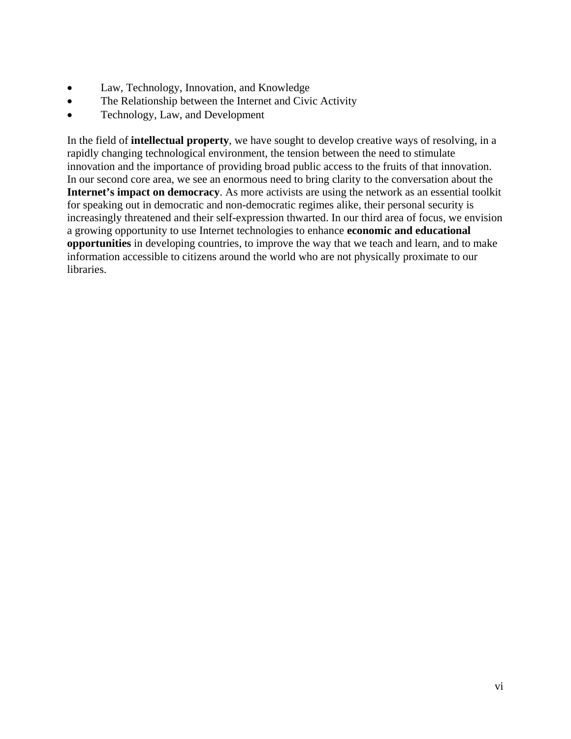- Law, Technology, Innovation, and Knowledge
- The Relationship between the Internet and Civic Activity
- Technology, Law, and Development

In the field of **intellectual property**, we have sought to develop creative ways of resolving, in a rapidly changing technological environment, the tension between the need to stimulate innovation and the importance of providing broad public access to the fruits of that innovation. In our second core area, we see an enormous need to bring clarity to the conversation about the **Internet's impact on democracy**. As more activists are using the network as an essential toolkit for speaking out in democratic and non-democratic regimes alike, their personal security is increasingly threatened and their self-expression thwarted. In our third area of focus, we envision a growing opportunity to use Internet technologies to enhance **economic and educational opportunities** in developing countries, to improve the way that we teach and learn, and to make information accessible to citizens around the world who are not physically proximate to our libraries.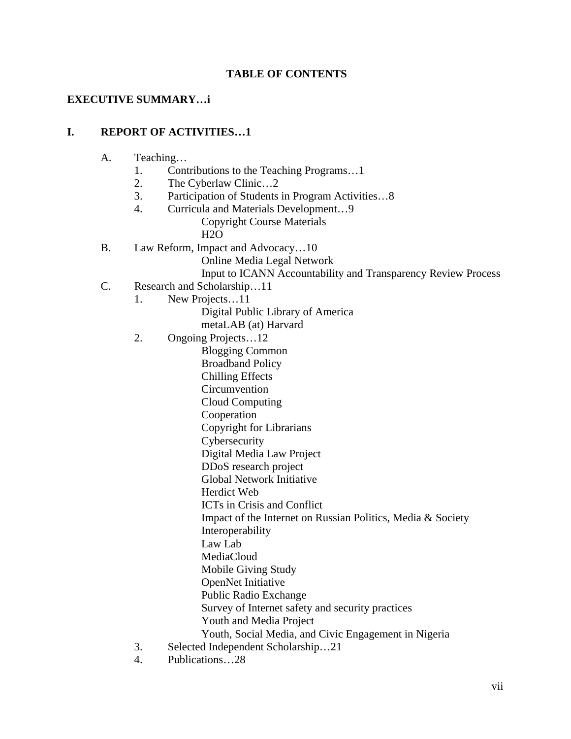## **TABLE OF CONTENTS**

## **EXECUTIVE SUMMARY…i**

#### **I. REPORT OF ACTIVITIES…1**

- A. Teaching…
	- 1. Contributions to the Teaching Programs…1
	- 2. The Cyberlaw Clinic…2
	- 3. Participation of Students in Program Activities…8
	- 4. Curricula and Materials Development…9
		- Copyright Course Materials H<sub>2</sub>O
- B. Law Reform, Impact and Advocacy…10
	- Online Media Legal Network

Input to ICANN Accountability and Transparency Review Process

- C. Research and Scholarship…11
	- 1. New Projects…11

Digital Public Library of America

metaLAB (at) Harvard

2. Ongoing Projects…12

Blogging Common Broadband Policy Chilling Effects Circumvention Cloud Computing Cooperation Copyright for Librarians Cybersecurity Digital Media Law Project DDoS research project Global Network Initiative Herdict Web ICTs in Crisis and Conflict Impact of the Internet on Russian Politics, Media & Society Interoperability Law Lab MediaCloud Mobile Giving Study OpenNet Initiative Public Radio Exchange Survey of Internet safety and security practices Youth and Media Project

- Youth, Social Media, and Civic Engagement in Nigeria
- 3. Selected Independent Scholarship…21
- 4. Publications…28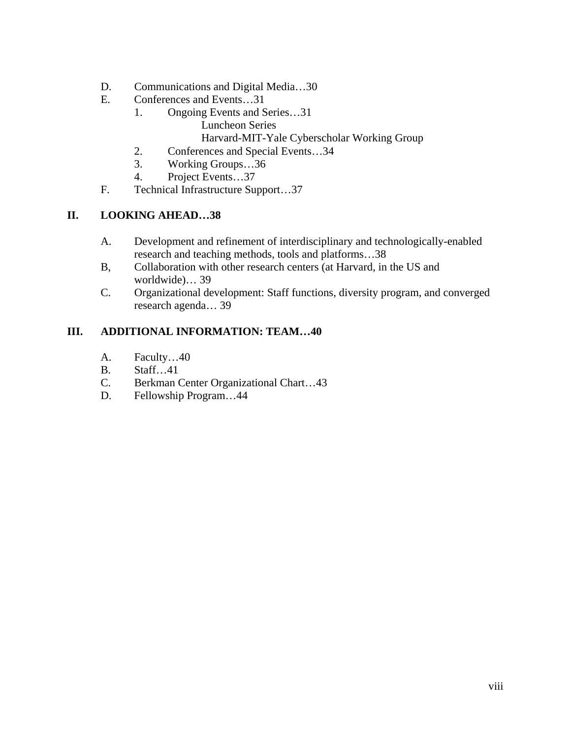- D. Communications and Digital Media...30
- E. Conferences and Events…31
	- 1. Ongoing Events and Series…31 Luncheon Series
		- Harvard-MIT-Yale Cyberscholar Working Group
		- 2. Conferences and Special Events…34
	- 3. Working Groups…36
	- 4. Project Events…37
- F. Technical Infrastructure Support…37

#### **II. LOOKING AHEAD…38**

- A. Development and refinement of interdisciplinary and technologically-enabled research and teaching methods, tools and platforms…38
- B, Collaboration with other research centers (at Harvard, in the US and worldwide)… 39
- C. Organizational development: Staff functions, diversity program, and converged research agenda… 39

#### **III. ADDITIONAL INFORMATION: TEAM…40**

- A. Faculty…40
- B. Staff…41
- C. Berkman Center Organizational Chart…43
- D. Fellowship Program…44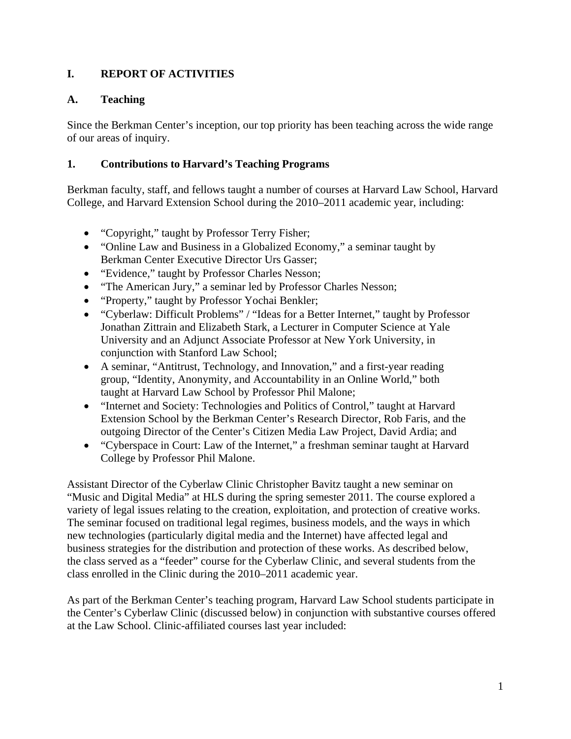# **I. REPORT OF ACTIVITIES**

# **A. Teaching**

Since the Berkman Center's inception, our top priority has been teaching across the wide range of our areas of inquiry.

# **1. Contributions to Harvard's Teaching Programs**

Berkman faculty, staff, and fellows taught a number of courses at Harvard Law School, Harvard College, and Harvard Extension School during the 2010–2011 academic year, including:

- "Copyright," taught by Professor Terry Fisher;
- "Online Law and Business in a Globalized Economy," a seminar taught by Berkman Center Executive Director Urs Gasser;
- "Evidence," taught by Professor Charles Nesson;
- "The American Jury," a seminar led by Professor Charles Nesson;
- "Property," taught by Professor Yochai Benkler;
- "Cyberlaw: Difficult Problems" / "Ideas for a Better Internet," taught by Professor Jonathan Zittrain and Elizabeth Stark, a Lecturer in Computer Science at Yale University and an Adjunct Associate Professor at New York University, in conjunction with Stanford Law School;
- A seminar, "Antitrust, Technology, and Innovation," and a first-year reading group, "Identity, Anonymity, and Accountability in an Online World," both taught at Harvard Law School by Professor Phil Malone;
- "Internet and Society: Technologies and Politics of Control," taught at Harvard Extension School by the Berkman Center's Research Director, Rob Faris, and the outgoing Director of the Center's Citizen Media Law Project, David Ardia; and
- "Cyberspace in Court: Law of the Internet," a freshman seminar taught at Harvard College by Professor Phil Malone.

Assistant Director of the Cyberlaw Clinic Christopher Bavitz taught a new seminar on "Music and Digital Media" at HLS during the spring semester 2011. The course explored a variety of legal issues relating to the creation, exploitation, and protection of creative works. The seminar focused on traditional legal regimes, business models, and the ways in which new technologies (particularly digital media and the Internet) have affected legal and business strategies for the distribution and protection of these works. As described below, the class served as a "feeder" course for the Cyberlaw Clinic, and several students from the class enrolled in the Clinic during the 2010–2011 academic year.

As part of the Berkman Center's teaching program, Harvard Law School students participate in the Center's Cyberlaw Clinic (discussed below) in conjunction with substantive courses offered at the Law School. Clinic-affiliated courses last year included: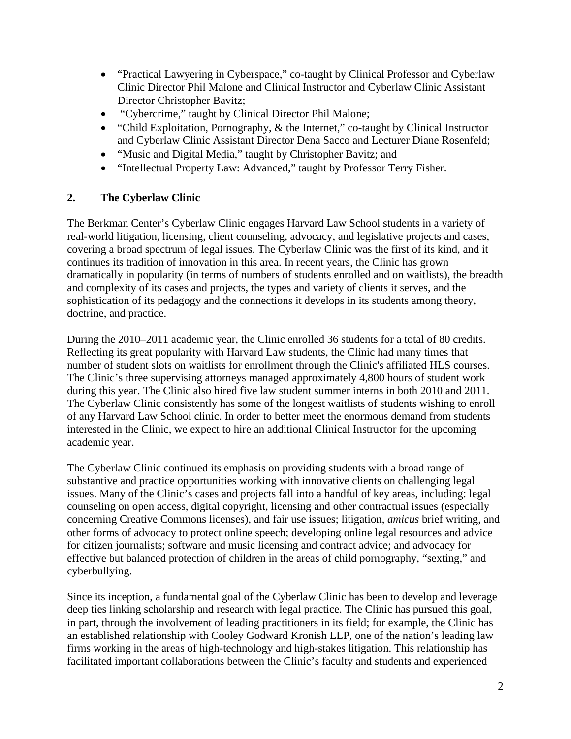- "Practical Lawyering in Cyberspace," co-taught by Clinical Professor and Cyberlaw Clinic Director Phil Malone and Clinical Instructor and Cyberlaw Clinic Assistant Director Christopher Bavitz;
- "Cybercrime," taught by Clinical Director Phil Malone;
- "Child Exploitation, Pornography, & the Internet," co-taught by Clinical Instructor and Cyberlaw Clinic Assistant Director Dena Sacco and Lecturer Diane Rosenfeld;
- "Music and Digital Media," taught by Christopher Bavitz; and
- "Intellectual Property Law: Advanced," taught by Professor Terry Fisher.

## **2. The Cyberlaw Clinic**

The Berkman Center's Cyberlaw Clinic engages Harvard Law School students in a variety of real-world litigation, licensing, client counseling, advocacy, and legislative projects and cases, covering a broad spectrum of legal issues. The Cyberlaw Clinic was the first of its kind, and it continues its tradition of innovation in this area. In recent years, the Clinic has grown dramatically in popularity (in terms of numbers of students enrolled and on waitlists), the breadth and complexity of its cases and projects, the types and variety of clients it serves, and the sophistication of its pedagogy and the connections it develops in its students among theory, doctrine, and practice.

During the 2010–2011 academic year, the Clinic enrolled 36 students for a total of 80 credits. Reflecting its great popularity with Harvard Law students, the Clinic had many times that number of student slots on waitlists for enrollment through the Clinic's affiliated HLS courses. The Clinic's three supervising attorneys managed approximately 4,800 hours of student work during this year. The Clinic also hired five law student summer interns in both 2010 and 2011. The Cyberlaw Clinic consistently has some of the longest waitlists of students wishing to enroll of any Harvard Law School clinic. In order to better meet the enormous demand from students interested in the Clinic, we expect to hire an additional Clinical Instructor for the upcoming academic year.

The Cyberlaw Clinic continued its emphasis on providing students with a broad range of substantive and practice opportunities working with innovative clients on challenging legal issues. Many of the Clinic's cases and projects fall into a handful of key areas, including: legal counseling on open access, digital copyright, licensing and other contractual issues (especially concerning Creative Commons licenses), and fair use issues; litigation, *amicus* brief writing, and other forms of advocacy to protect online speech; developing online legal resources and advice for citizen journalists; software and music licensing and contract advice; and advocacy for effective but balanced protection of children in the areas of child pornography, "sexting," and cyberbullying.

Since its inception, a fundamental goal of the Cyberlaw Clinic has been to develop and leverage deep ties linking scholarship and research with legal practice. The Clinic has pursued this goal, in part, through the involvement of leading practitioners in its field; for example, the Clinic has an established relationship with Cooley Godward Kronish LLP, one of the nation's leading law firms working in the areas of high-technology and high-stakes litigation. This relationship has facilitated important collaborations between the Clinic's faculty and students and experienced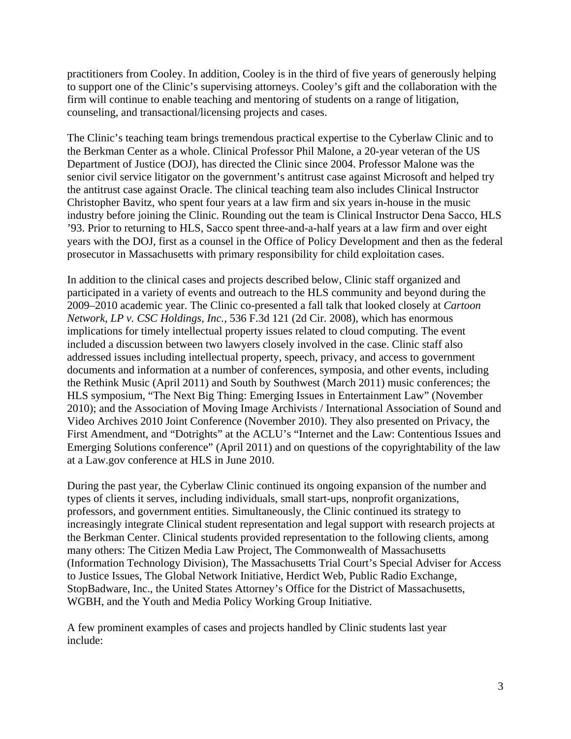practitioners from Cooley. In addition, Cooley is in the third of five years of generously helping to support one of the Clinic's supervising attorneys. Cooley's gift and the collaboration with the firm will continue to enable teaching and mentoring of students on a range of litigation, counseling, and transactional/licensing projects and cases.

The Clinic's teaching team brings tremendous practical expertise to the Cyberlaw Clinic and to the Berkman Center as a whole. Clinical Professor Phil Malone, a 20-year veteran of the US Department of Justice (DOJ), has directed the Clinic since 2004. Professor Malone was the senior civil service litigator on the government's antitrust case against Microsoft and helped try the antitrust case against Oracle. The clinical teaching team also includes Clinical Instructor Christopher Bavitz, who spent four years at a law firm and six years in-house in the music industry before joining the Clinic. Rounding out the team is Clinical Instructor Dena Sacco, HLS '93. Prior to returning to HLS, Sacco spent three-and-a-half years at a law firm and over eight years with the DOJ, first as a counsel in the Office of Policy Development and then as the federal prosecutor in Massachusetts with primary responsibility for child exploitation cases.

In addition to the clinical cases and projects described below, Clinic staff organized and participated in a variety of events and outreach to the HLS community and beyond during the 2009–2010 academic year. The Clinic co-presented a fall talk that looked closely at *Cartoon Network, LP v. CSC Holdings, Inc.*, 536 F.3d 121 (2d Cir. 2008), which has enormous implications for timely intellectual property issues related to cloud computing. The event included a discussion between two lawyers closely involved in the case. Clinic staff also addressed issues including intellectual property, speech, privacy, and access to government documents and information at a number of conferences, symposia, and other events, including the Rethink Music (April 2011) and South by Southwest (March 2011) music conferences; the HLS symposium, "The Next Big Thing: Emerging Issues in Entertainment Law" (November 2010); and the Association of Moving Image Archivists / International Association of Sound and Video Archives 2010 Joint Conference (November 2010). They also presented on Privacy, the First Amendment, and "Dotrights" at the ACLU's "Internet and the Law: Contentious Issues and Emerging Solutions conference" (April 2011) and on questions of the copyrightability of the law at a Law.gov conference at HLS in June 2010.

During the past year, the Cyberlaw Clinic continued its ongoing expansion of the number and types of clients it serves, including individuals, small start-ups, nonprofit organizations, professors, and government entities. Simultaneously, the Clinic continued its strategy to increasingly integrate Clinical student representation and legal support with research projects at the Berkman Center. Clinical students provided representation to the following clients, among many others: The Citizen Media Law Project, The Commonwealth of Massachusetts (Information Technology Division), The Massachusetts Trial Court's Special Adviser for Access to Justice Issues, The Global Network Initiative, Herdict Web, Public Radio Exchange, StopBadware, Inc., the United States Attorney's Office for the District of Massachusetts, WGBH, and the Youth and Media Policy Working Group Initiative.

A few prominent examples of cases and projects handled by Clinic students last year include: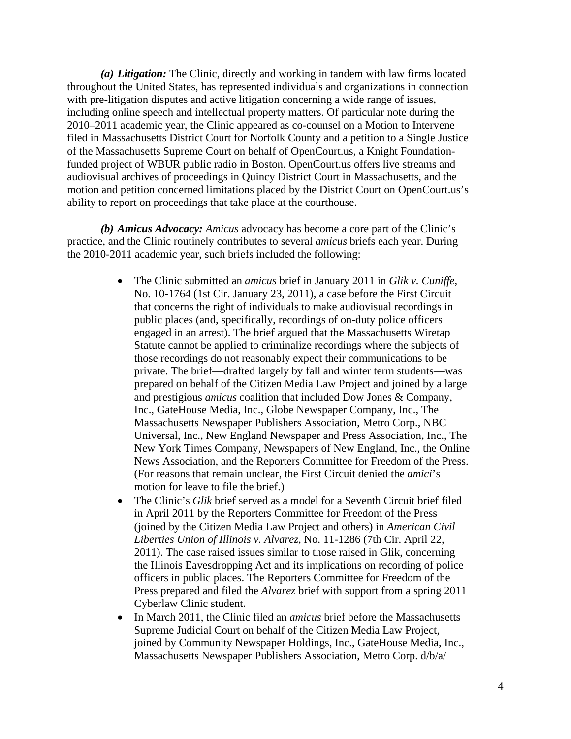*(a) Litigation:* The Clinic, directly and working in tandem with law firms located throughout the United States, has represented individuals and organizations in connection with pre-litigation disputes and active litigation concerning a wide range of issues, including online speech and intellectual property matters. Of particular note during the 2010–2011 academic year, the Clinic appeared as co-counsel on a Motion to Intervene filed in Massachusetts District Court for Norfolk County and a petition to a Single Justice of the Massachusetts Supreme Court on behalf of OpenCourt.us, a Knight Foundationfunded project of WBUR public radio in Boston. OpenCourt.us offers live streams and audiovisual archives of proceedings in Quincy District Court in Massachusetts, and the motion and petition concerned limitations placed by the District Court on OpenCourt.us's ability to report on proceedings that take place at the courthouse.

*(b) Amicus Advocacy: Amicus* advocacy has become a core part of the Clinic's practice, and the Clinic routinely contributes to several *amicus* briefs each year. During the 2010-2011 academic year, such briefs included the following:

- The Clinic submitted an *amicus* brief in January 2011 in *Glik v. Cuniffe*, No. 10-1764 (1st Cir. January 23, 2011), a case before the First Circuit that concerns the right of individuals to make audiovisual recordings in public places (and, specifically, recordings of on-duty police officers engaged in an arrest). The brief argued that the Massachusetts Wiretap Statute cannot be applied to criminalize recordings where the subjects of those recordings do not reasonably expect their communications to be private. The brief—drafted largely by fall and winter term students—was prepared on behalf of the Citizen Media Law Project and joined by a large and prestigious *amicus* coalition that included Dow Jones & Company, Inc., GateHouse Media, Inc., Globe Newspaper Company, Inc., The Massachusetts Newspaper Publishers Association, Metro Corp., NBC Universal, Inc., New England Newspaper and Press Association, Inc., The New York Times Company, Newspapers of New England, Inc., the Online News Association, and the Reporters Committee for Freedom of the Press. (For reasons that remain unclear, the First Circuit denied the *amici*'s motion for leave to file the brief.)
- The Clinic's *Glik* brief served as a model for a Seventh Circuit brief filed in April 2011 by the Reporters Committee for Freedom of the Press (joined by the Citizen Media Law Project and others) in *American Civil Liberties Union of Illinois v. Alvarez*, No. 11-1286 (7th Cir. April 22, 2011). The case raised issues similar to those raised in Glik, concerning the Illinois Eavesdropping Act and its implications on recording of police officers in public places. The Reporters Committee for Freedom of the Press prepared and filed the *Alvarez* brief with support from a spring 2011 Cyberlaw Clinic student.
- In March 2011, the Clinic filed an *amicus* brief before the Massachusetts Supreme Judicial Court on behalf of the Citizen Media Law Project, joined by Community Newspaper Holdings, Inc., GateHouse Media, Inc., Massachusetts Newspaper Publishers Association, Metro Corp. d/b/a/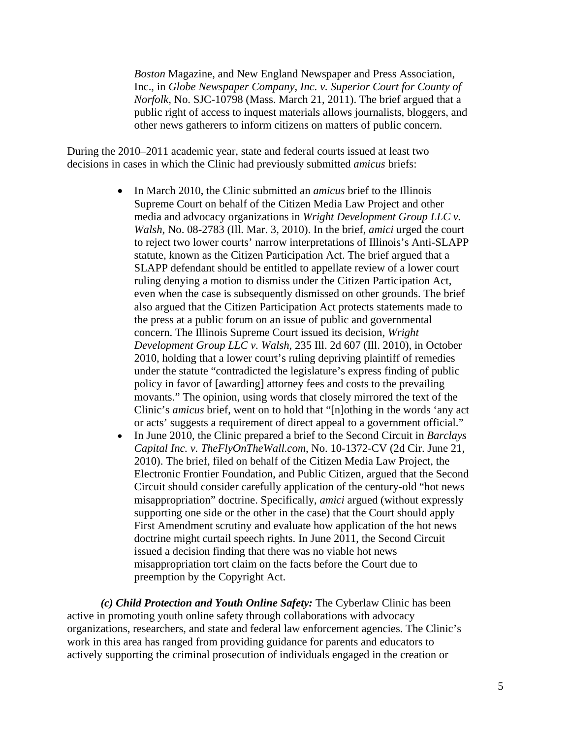*Boston* Magazine, and New England Newspaper and Press Association, Inc., in *Globe Newspaper Company, Inc. v. Superior Court for County of Norfolk*, No. SJC-10798 (Mass. March 21, 2011). The brief argued that a public right of access to inquest materials allows journalists, bloggers, and other news gatherers to inform citizens on matters of public concern.

During the 2010–2011 academic year, state and federal courts issued at least two decisions in cases in which the Clinic had previously submitted *amicus* briefs:

- In March 2010, the Clinic submitted an *amicus* brief to the Illinois Supreme Court on behalf of the Citizen Media Law Project and other media and advocacy organizations in *Wright Development Group LLC v. Walsh*, No. 08-2783 (Ill. Mar. 3, 2010). In the brief, *amici* urged the court to reject two lower courts' narrow interpretations of Illinois's Anti-SLAPP statute, known as the Citizen Participation Act. The brief argued that a SLAPP defendant should be entitled to appellate review of a lower court ruling denying a motion to dismiss under the Citizen Participation Act, even when the case is subsequently dismissed on other grounds. The brief also argued that the Citizen Participation Act protects statements made to the press at a public forum on an issue of public and governmental concern. The Illinois Supreme Court issued its decision, *Wright Development Group LLC v. Walsh*, 235 Ill. 2d 607 (Ill. 2010), in October 2010, holding that a lower court's ruling depriving plaintiff of remedies under the statute "contradicted the legislature's express finding of public policy in favor of [awarding] attorney fees and costs to the prevailing movants." The opinion, using words that closely mirrored the text of the Clinic's *amicus* brief, went on to hold that "[n]othing in the words 'any act or acts' suggests a requirement of direct appeal to a government official."
- In June 2010, the Clinic prepared a brief to the Second Circuit in *Barclays Capital Inc. v. TheFlyOnTheWall.com*, No. 10-1372-CV (2d Cir. June 21, 2010). The brief, filed on behalf of the Citizen Media Law Project, the Electronic Frontier Foundation, and Public Citizen, argued that the Second Circuit should consider carefully application of the century-old "hot news misappropriation" doctrine. Specifically, *amici* argued (without expressly supporting one side or the other in the case) that the Court should apply First Amendment scrutiny and evaluate how application of the hot news doctrine might curtail speech rights. In June 2011, the Second Circuit issued a decision finding that there was no viable hot news misappropriation tort claim on the facts before the Court due to preemption by the Copyright Act.

*(c) Child Protection and Youth Online Safety:* The Cyberlaw Clinic has been active in promoting youth online safety through collaborations with advocacy organizations, researchers, and state and federal law enforcement agencies. The Clinic's work in this area has ranged from providing guidance for parents and educators to actively supporting the criminal prosecution of individuals engaged in the creation or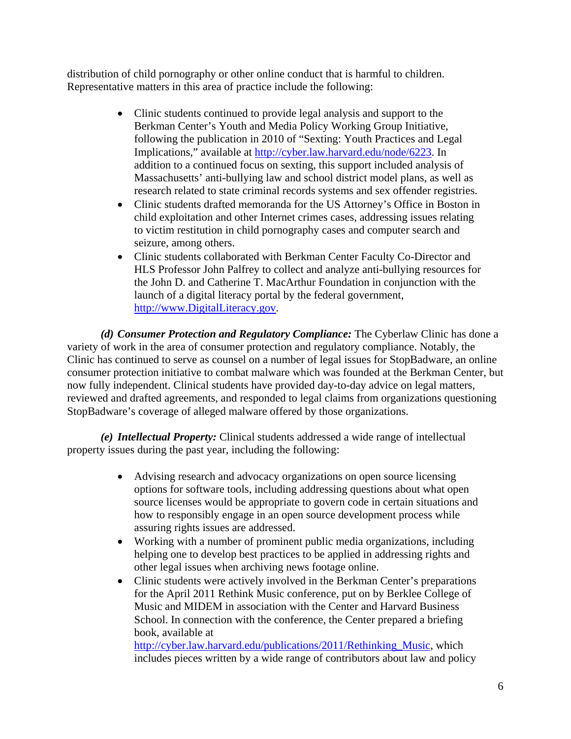distribution of child pornography or other online conduct that is harmful to children. Representative matters in this area of practice include the following:

- Clinic students continued to provide legal analysis and support to the Berkman Center's Youth and Media Policy Working Group Initiative, following the publication in 2010 of "Sexting: Youth Practices and Legal Implications," available at http://cyber.law.harvard.edu/node/6223. In addition to a continued focus on sexting, this support included analysis of Massachusetts' anti-bullying law and school district model plans, as well as research related to state criminal records systems and sex offender registries.
- Clinic students drafted memoranda for the US Attorney's Office in Boston in child exploitation and other Internet crimes cases, addressing issues relating to victim restitution in child pornography cases and computer search and seizure, among others.
- Clinic students collaborated with Berkman Center Faculty Co-Director and HLS Professor John Palfrey to collect and analyze anti-bullying resources for the John D. and Catherine T. MacArthur Foundation in conjunction with the launch of a digital literacy portal by the federal government, http://www.DigitalLiteracy.gov.

*(d) Consumer Protection and Regulatory Compliance:* The Cyberlaw Clinic has done a variety of work in the area of consumer protection and regulatory compliance. Notably, the Clinic has continued to serve as counsel on a number of legal issues for StopBadware, an online consumer protection initiative to combat malware which was founded at the Berkman Center, but now fully independent. Clinical students have provided day-to-day advice on legal matters, reviewed and drafted agreements, and responded to legal claims from organizations questioning StopBadware's coverage of alleged malware offered by those organizations.

 *(e) Intellectual Property:* Clinical students addressed a wide range of intellectual property issues during the past year, including the following:

- Advising research and advocacy organizations on open source licensing options for software tools, including addressing questions about what open source licenses would be appropriate to govern code in certain situations and how to responsibly engage in an open source development process while assuring rights issues are addressed.
- Working with a number of prominent public media organizations, including helping one to develop best practices to be applied in addressing rights and other legal issues when archiving news footage online.
- Clinic students were actively involved in the Berkman Center's preparations for the April 2011 Rethink Music conference, put on by Berklee College of Music and MIDEM in association with the Center and Harvard Business School. In connection with the conference, the Center prepared a briefing book, available at

http://cyber.law.harvard.edu/publications/2011/Rethinking\_Music, which includes pieces written by a wide range of contributors about law and policy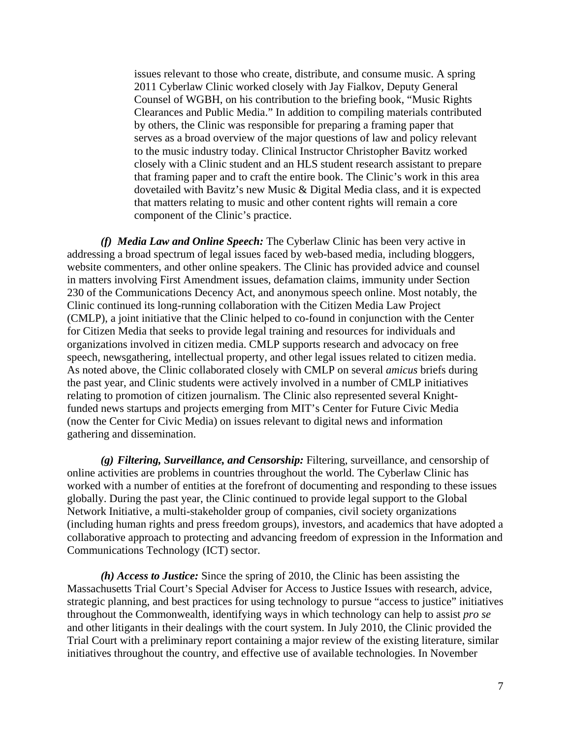issues relevant to those who create, distribute, and consume music. A spring 2011 Cyberlaw Clinic worked closely with Jay Fialkov, Deputy General Counsel of WGBH, on his contribution to the briefing book, "Music Rights Clearances and Public Media." In addition to compiling materials contributed by others, the Clinic was responsible for preparing a framing paper that serves as a broad overview of the major questions of law and policy relevant to the music industry today. Clinical Instructor Christopher Bavitz worked closely with a Clinic student and an HLS student research assistant to prepare that framing paper and to craft the entire book. The Clinic's work in this area dovetailed with Bavitz's new Music & Digital Media class, and it is expected that matters relating to music and other content rights will remain a core component of the Clinic's practice.

*(f) Media Law and Online Speech:* The Cyberlaw Clinic has been very active in addressing a broad spectrum of legal issues faced by web-based media, including bloggers, website commenters, and other online speakers. The Clinic has provided advice and counsel in matters involving First Amendment issues, defamation claims, immunity under Section 230 of the Communications Decency Act, and anonymous speech online. Most notably, the Clinic continued its long-running collaboration with the Citizen Media Law Project (CMLP), a joint initiative that the Clinic helped to co-found in conjunction with the Center for Citizen Media that seeks to provide legal training and resources for individuals and organizations involved in citizen media. CMLP supports research and advocacy on free speech, newsgathering, intellectual property, and other legal issues related to citizen media. As noted above, the Clinic collaborated closely with CMLP on several *amicus* briefs during the past year, and Clinic students were actively involved in a number of CMLP initiatives relating to promotion of citizen journalism. The Clinic also represented several Knightfunded news startups and projects emerging from MIT's Center for Future Civic Media (now the Center for Civic Media) on issues relevant to digital news and information gathering and dissemination.

*(g) Filtering, Surveillance, and Censorship:* Filtering, surveillance, and censorship of online activities are problems in countries throughout the world. The Cyberlaw Clinic has worked with a number of entities at the forefront of documenting and responding to these issues globally. During the past year, the Clinic continued to provide legal support to the Global Network Initiative, a multi-stakeholder group of companies, civil society organizations (including human rights and press freedom groups), investors, and academics that have adopted a collaborative approach to protecting and advancing freedom of expression in the Information and Communications Technology (ICT) sector.

*(h) Access to Justice:* Since the spring of 2010, the Clinic has been assisting the Massachusetts Trial Court's Special Adviser for Access to Justice Issues with research, advice, strategic planning, and best practices for using technology to pursue "access to justice" initiatives throughout the Commonwealth, identifying ways in which technology can help to assist *pro se* and other litigants in their dealings with the court system. In July 2010, the Clinic provided the Trial Court with a preliminary report containing a major review of the existing literature, similar initiatives throughout the country, and effective use of available technologies. In November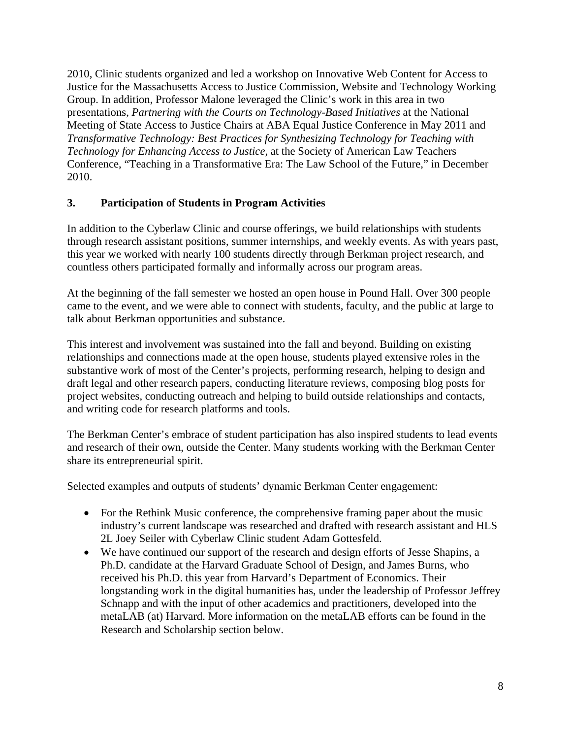2010, Clinic students organized and led a workshop on Innovative Web Content for Access to Justice for the Massachusetts Access to Justice Commission, Website and Technology Working Group. In addition, Professor Malone leveraged the Clinic's work in this area in two presentations, *Partnering with the Courts on Technology-Based Initiatives* at the National Meeting of State Access to Justice Chairs at ABA Equal Justice Conference in May 2011 and *Transformative Technology: Best Practices for Synthesizing Technology for Teaching with Technology for Enhancing Access to Justice,* at the Society of American Law Teachers Conference, "Teaching in a Transformative Era: The Law School of the Future," in December 2010.

## **3. Participation of Students in Program Activities**

In addition to the Cyberlaw Clinic and course offerings, we build relationships with students through research assistant positions, summer internships, and weekly events. As with years past, this year we worked with nearly 100 students directly through Berkman project research, and countless others participated formally and informally across our program areas.

At the beginning of the fall semester we hosted an open house in Pound Hall. Over 300 people came to the event, and we were able to connect with students, faculty, and the public at large to talk about Berkman opportunities and substance.

This interest and involvement was sustained into the fall and beyond. Building on existing relationships and connections made at the open house, students played extensive roles in the substantive work of most of the Center's projects, performing research, helping to design and draft legal and other research papers, conducting literature reviews, composing blog posts for project websites, conducting outreach and helping to build outside relationships and contacts, and writing code for research platforms and tools.

The Berkman Center's embrace of student participation has also inspired students to lead events and research of their own, outside the Center. Many students working with the Berkman Center share its entrepreneurial spirit.

Selected examples and outputs of students' dynamic Berkman Center engagement:

- For the Rethink Music conference, the comprehensive framing paper about the music industry's current landscape was researched and drafted with research assistant and HLS 2L Joey Seiler with Cyberlaw Clinic student Adam Gottesfeld.
- We have continued our support of the research and design efforts of Jesse Shapins, a Ph.D. candidate at the Harvard Graduate School of Design, and James Burns, who received his Ph.D. this year from Harvard's Department of Economics. Their longstanding work in the digital humanities has, under the leadership of Professor Jeffrey Schnapp and with the input of other academics and practitioners, developed into the metaLAB (at) Harvard. More information on the metaLAB efforts can be found in the Research and Scholarship section below.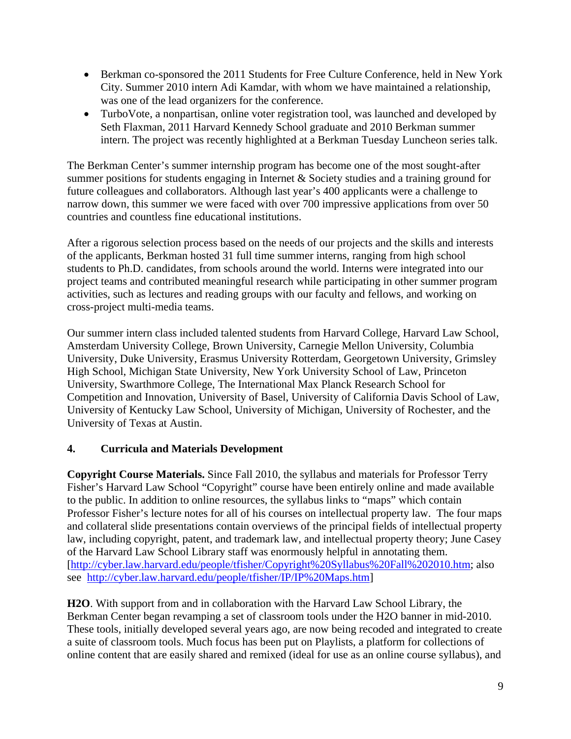- Berkman co-sponsored the 2011 Students for Free Culture Conference, held in New York City. Summer 2010 intern Adi Kamdar, with whom we have maintained a relationship, was one of the lead organizers for the conference.
- TurboVote, a nonpartisan, online voter registration tool, was launched and developed by Seth Flaxman, 2011 Harvard Kennedy School graduate and 2010 Berkman summer intern. The project was recently highlighted at a Berkman Tuesday Luncheon series talk.

The Berkman Center's summer internship program has become one of the most sought-after summer positions for students engaging in Internet & Society studies and a training ground for future colleagues and collaborators. Although last year's 400 applicants were a challenge to narrow down, this summer we were faced with over 700 impressive applications from over 50 countries and countless fine educational institutions.

After a rigorous selection process based on the needs of our projects and the skills and interests of the applicants, Berkman hosted 31 full time summer interns, ranging from high school students to Ph.D. candidates, from schools around the world. Interns were integrated into our project teams and contributed meaningful research while participating in other summer program activities, such as lectures and reading groups with our faculty and fellows, and working on cross-project multi-media teams.

Our summer intern class included talented students from Harvard College, Harvard Law School, Amsterdam University College, Brown University, Carnegie Mellon University, Columbia University, Duke University, Erasmus University Rotterdam, Georgetown University, Grimsley High School, Michigan State University, New York University School of Law, Princeton University, Swarthmore College, The International Max Planck Research School for Competition and Innovation, University of Basel, University of California Davis School of Law, University of Kentucky Law School, University of Michigan, University of Rochester, and the University of Texas at Austin.

# **4. Curricula and Materials Development**

**Copyright Course Materials.** Since Fall 2010, the syllabus and materials for Professor Terry Fisher's Harvard Law School "Copyright" course have been entirely online and made available to the public. In addition to online resources, the syllabus links to "maps" which contain Professor Fisher's lecture notes for all of his courses on intellectual property law. The four maps and collateral slide presentations contain overviews of the principal fields of intellectual property law, including copyright, patent, and trademark law, and intellectual property theory; June Casey of the Harvard Law School Library staff was enormously helpful in annotating them. [http://cyber.law.harvard.edu/people/tfisher/Copyright%20Syllabus%20Fall%202010.htm; also see http://cyber.law.harvard.edu/people/tfisher/IP/IP%20Maps.htm]

**H2O**. With support from and in collaboration with the Harvard Law School Library, the Berkman Center began revamping a set of classroom tools under the H2O banner in mid-2010. These tools, initially developed several years ago, are now being recoded and integrated to create a suite of classroom tools. Much focus has been put on Playlists, a platform for collections of online content that are easily shared and remixed (ideal for use as an online course syllabus), and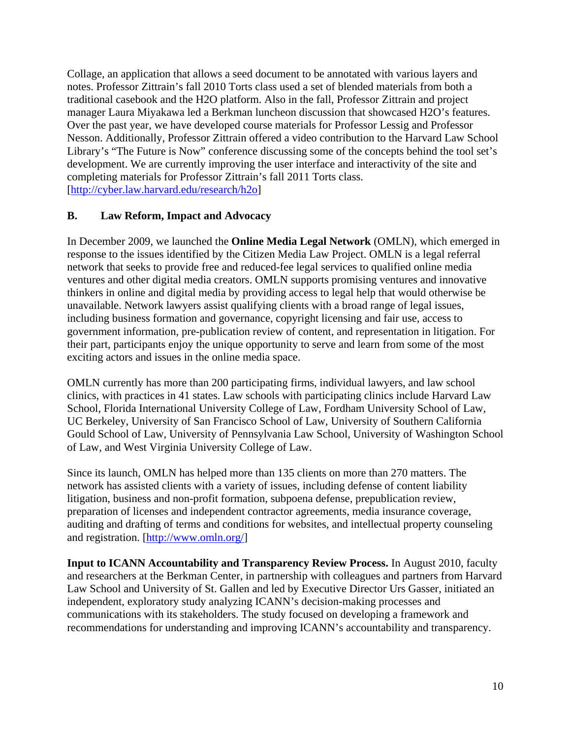Collage, an application that allows a seed document to be annotated with various layers and notes. Professor Zittrain's fall 2010 Torts class used a set of blended materials from both a traditional casebook and the H2O platform. Also in the fall, Professor Zittrain and project manager Laura Miyakawa led a Berkman luncheon discussion that showcased H2O's features. Over the past year, we have developed course materials for Professor Lessig and Professor Nesson. Additionally, Professor Zittrain offered a video contribution to the Harvard Law School Library's "The Future is Now" conference discussing some of the concepts behind the tool set's development. We are currently improving the user interface and interactivity of the site and completing materials for Professor Zittrain's fall 2011 Torts class. [http://cyber.law.harvard.edu/research/h2o]

## **B. Law Reform, Impact and Advocacy**

In December 2009, we launched the **Online Media Legal Network** (OMLN), which emerged in response to the issues identified by the Citizen Media Law Project. OMLN is a legal referral network that seeks to provide free and reduced-fee legal services to qualified online media ventures and other digital media creators. OMLN supports promising ventures and innovative thinkers in online and digital media by providing access to legal help that would otherwise be unavailable. Network lawyers assist qualifying clients with a broad range of legal issues, including business formation and governance, copyright licensing and fair use, access to government information, pre-publication review of content, and representation in litigation. For their part, participants enjoy the unique opportunity to serve and learn from some of the most exciting actors and issues in the online media space.

OMLN currently has more than 200 participating firms, individual lawyers, and law school clinics, with practices in 41 states. Law schools with participating clinics include Harvard Law School, Florida International University College of Law, Fordham University School of Law, UC Berkeley, University of San Francisco School of Law, University of Southern California Gould School of Law, University of Pennsylvania Law School, University of Washington School of Law, and West Virginia University College of Law.

Since its launch, OMLN has helped more than 135 clients on more than 270 matters. The network has assisted clients with a variety of issues, including defense of content liability litigation, business and non-profit formation, subpoena defense, prepublication review, preparation of licenses and independent contractor agreements, media insurance coverage, auditing and drafting of terms and conditions for websites, and intellectual property counseling and registration. [http://www.omln.org/]

**Input to ICANN Accountability and Transparency Review Process.** In August 2010, faculty and researchers at the Berkman Center, in partnership with colleagues and partners from Harvard Law School and University of St. Gallen and led by Executive Director Urs Gasser, initiated an independent, exploratory study analyzing ICANN's decision-making processes and communications with its stakeholders. The study focused on developing a framework and recommendations for understanding and improving ICANN's accountability and transparency.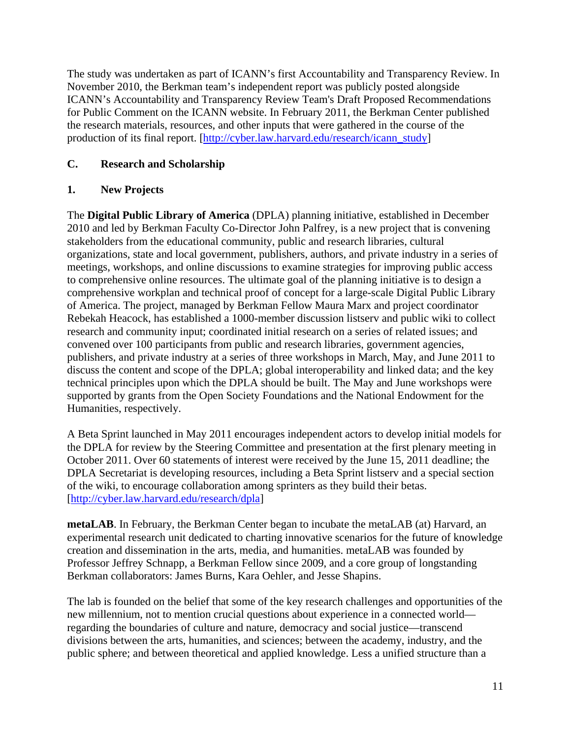The study was undertaken as part of ICANN's first Accountability and Transparency Review. In November 2010, the Berkman team's independent report was publicly posted alongside ICANN's Accountability and Transparency Review Team's Draft Proposed Recommendations for Public Comment on the ICANN website. In February 2011, the Berkman Center published the research materials, resources, and other inputs that were gathered in the course of the production of its final report. [http://cyber.law.harvard.edu/research/icann\_study]

# **C. Research and Scholarship**

## **1. New Projects**

The **Digital Public Library of America** (DPLA) planning initiative, established in December 2010 and led by Berkman Faculty Co-Director John Palfrey, is a new project that is convening stakeholders from the educational community, public and research libraries, cultural organizations, state and local government, publishers, authors, and private industry in a series of meetings, workshops, and online discussions to examine strategies for improving public access to comprehensive online resources. The ultimate goal of the planning initiative is to design a comprehensive workplan and technical proof of concept for a large-scale Digital Public Library of America. The project, managed by Berkman Fellow Maura Marx and project coordinator Rebekah Heacock, has established a 1000-member discussion listserv and public wiki to collect research and community input; coordinated initial research on a series of related issues; and convened over 100 participants from public and research libraries, government agencies, publishers, and private industry at a series of three workshops in March, May, and June 2011 to discuss the content and scope of the DPLA; global interoperability and linked data; and the key technical principles upon which the DPLA should be built. The May and June workshops were supported by grants from the Open Society Foundations and the National Endowment for the Humanities, respectively.

A Beta Sprint launched in May 2011 encourages independent actors to develop initial models for the DPLA for review by the Steering Committee and presentation at the first plenary meeting in October 2011. Over 60 statements of interest were received by the June 15, 2011 deadline; the DPLA Secretariat is developing resources, including a Beta Sprint listserv and a special section of the wiki, to encourage collaboration among sprinters as they build their betas. [http://cyber.law.harvard.edu/research/dpla]

**metaLAB**. In February, the Berkman Center began to incubate the metaLAB (at) Harvard, an experimental research unit dedicated to charting innovative scenarios for the future of knowledge creation and dissemination in the arts, media, and humanities. metaLAB was founded by Professor Jeffrey Schnapp, a Berkman Fellow since 2009, and a core group of longstanding Berkman collaborators: James Burns, Kara Oehler, and Jesse Shapins.

The lab is founded on the belief that some of the key research challenges and opportunities of the new millennium, not to mention crucial questions about experience in a connected world regarding the boundaries of culture and nature, democracy and social justice—transcend divisions between the arts, humanities, and sciences; between the academy, industry, and the public sphere; and between theoretical and applied knowledge. Less a unified structure than a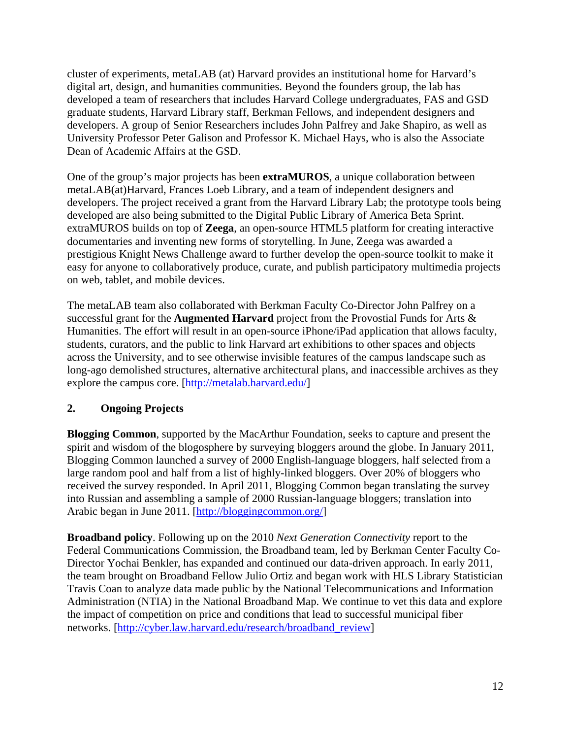cluster of experiments, metaLAB (at) Harvard provides an institutional home for Harvard's digital art, design, and humanities communities. Beyond the founders group, the lab has developed a team of researchers that includes Harvard College undergraduates, FAS and GSD graduate students, Harvard Library staff, Berkman Fellows, and independent designers and developers. A group of Senior Researchers includes John Palfrey and Jake Shapiro, as well as University Professor Peter Galison and Professor K. Michael Hays, who is also the Associate Dean of Academic Affairs at the GSD.

One of the group's major projects has been **extraMUROS**, a unique collaboration between metaLAB(at)Harvard, Frances Loeb Library, and a team of independent designers and developers. The project received a grant from the Harvard Library Lab; the prototype tools being developed are also being submitted to the Digital Public Library of America Beta Sprint. extraMUROS builds on top of **Zeega**, an open-source HTML5 platform for creating interactive documentaries and inventing new forms of storytelling. In June, Zeega was awarded a prestigious Knight News Challenge award to further develop the open-source toolkit to make it easy for anyone to collaboratively produce, curate, and publish participatory multimedia projects on web, tablet, and mobile devices.

The metaLAB team also collaborated with Berkman Faculty Co-Director John Palfrey on a successful grant for the **Augmented Harvard** project from the Provostial Funds for Arts & Humanities. The effort will result in an open-source iPhone/iPad application that allows faculty, students, curators, and the public to link Harvard art exhibitions to other spaces and objects across the University, and to see otherwise invisible features of the campus landscape such as long-ago demolished structures, alternative architectural plans, and inaccessible archives as they explore the campus core. [http://metalab.harvard.edu/]

## **2. Ongoing Projects**

**Blogging Common**, supported by the MacArthur Foundation, seeks to capture and present the spirit and wisdom of the blogosphere by surveying bloggers around the globe. In January 2011, Blogging Common launched a survey of 2000 English-language bloggers, half selected from a large random pool and half from a list of highly-linked bloggers. Over 20% of bloggers who received the survey responded. In April 2011, Blogging Common began translating the survey into Russian and assembling a sample of 2000 Russian-language bloggers; translation into Arabic began in June 2011. [http://bloggingcommon.org/]

**Broadband policy**. Following up on the 2010 *Next Generation Connectivity* report to the Federal Communications Commission, the Broadband team, led by Berkman Center Faculty Co-Director Yochai Benkler, has expanded and continued our data-driven approach. In early 2011, the team brought on Broadband Fellow Julio Ortiz and began work with HLS Library Statistician Travis Coan to analyze data made public by the National Telecommunications and Information Administration (NTIA) in the National Broadband Map. We continue to vet this data and explore the impact of competition on price and conditions that lead to successful municipal fiber networks. [http://cyber.law.harvard.edu/research/broadband\_review]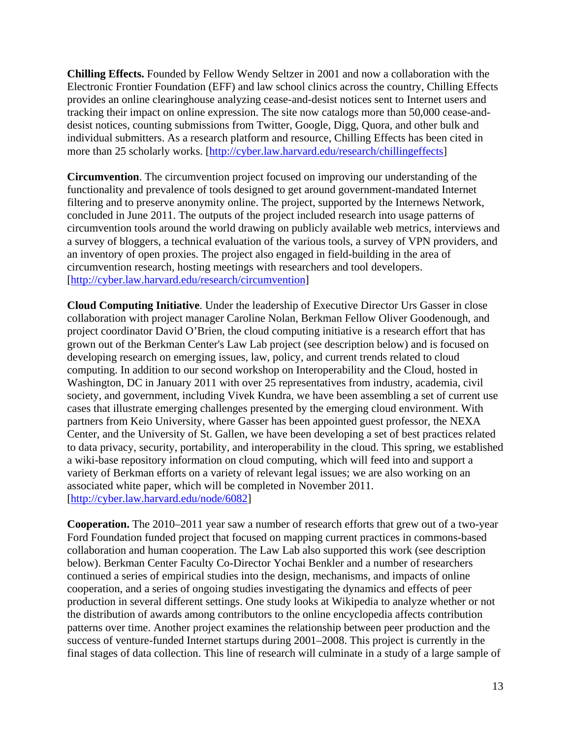**Chilling Effects.** Founded by Fellow Wendy Seltzer in 2001 and now a collaboration with the Electronic Frontier Foundation (EFF) and law school clinics across the country, Chilling Effects provides an online clearinghouse analyzing cease-and-desist notices sent to Internet users and tracking their impact on online expression. The site now catalogs more than 50,000 cease-anddesist notices, counting submissions from Twitter, Google, Digg, Quora, and other bulk and individual submitters. As a research platform and resource, Chilling Effects has been cited in more than 25 scholarly works. [http://cyber.law.harvard.edu/research/chillingeffects]

**Circumvention**. The circumvention project focused on improving our understanding of the functionality and prevalence of tools designed to get around government-mandated Internet filtering and to preserve anonymity online. The project, supported by the Internews Network, concluded in June 2011. The outputs of the project included research into usage patterns of circumvention tools around the world drawing on publicly available web metrics, interviews and a survey of bloggers, a technical evaluation of the various tools, a survey of VPN providers, and an inventory of open proxies. The project also engaged in field-building in the area of circumvention research, hosting meetings with researchers and tool developers. [http://cyber.law.harvard.edu/research/circumvention]

**Cloud Computing Initiative**. Under the leadership of Executive Director Urs Gasser in close collaboration with project manager Caroline Nolan, Berkman Fellow Oliver Goodenough, and project coordinator David O'Brien, the cloud computing initiative is a research effort that has grown out of the Berkman Center's Law Lab project (see description below) and is focused on developing research on emerging issues, law, policy, and current trends related to cloud computing. In addition to our second workshop on Interoperability and the Cloud, hosted in Washington, DC in January 2011 with over 25 representatives from industry, academia, civil society, and government, including Vivek Kundra, we have been assembling a set of current use cases that illustrate emerging challenges presented by the emerging cloud environment. With partners from Keio University, where Gasser has been appointed guest professor, the NEXA Center, and the University of St. Gallen, we have been developing a set of best practices related to data privacy, security, portability, and interoperability in the cloud. This spring, we established a wiki-base repository information on cloud computing, which will feed into and support a variety of Berkman efforts on a variety of relevant legal issues; we are also working on an associated white paper, which will be completed in November 2011. [http://cyber.law.harvard.edu/node/6082]

**Cooperation.** The 2010–2011 year saw a number of research efforts that grew out of a two-year Ford Foundation funded project that focused on mapping current practices in commons-based collaboration and human cooperation. The Law Lab also supported this work (see description below). Berkman Center Faculty Co-Director Yochai Benkler and a number of researchers continued a series of empirical studies into the design, mechanisms, and impacts of online cooperation, and a series of ongoing studies investigating the dynamics and effects of peer production in several different settings. One study looks at Wikipedia to analyze whether or not the distribution of awards among contributors to the online encyclopedia affects contribution patterns over time. Another project examines the relationship between peer production and the success of venture-funded Internet startups during 2001–2008. This project is currently in the final stages of data collection. This line of research will culminate in a study of a large sample of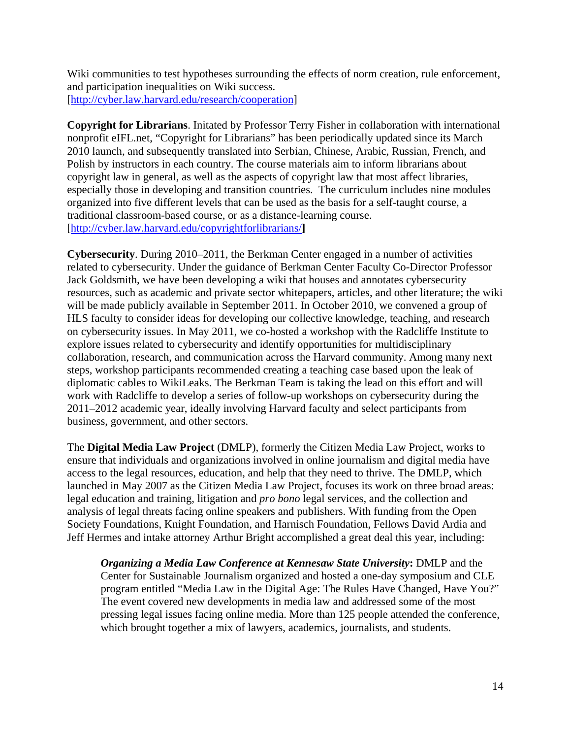Wiki communities to test hypotheses surrounding the effects of norm creation, rule enforcement, and participation inequalities on Wiki success. [http://cyber.law.harvard.edu/research/cooperation]

**Copyright for Librarians**. Initated by Professor Terry Fisher in collaboration with international nonprofit eIFL.net, "Copyright for Librarians" has been periodically updated since its March 2010 launch, and subsequently translated into Serbian, Chinese, Arabic, Russian, French, and Polish by instructors in each country. The course materials aim to inform librarians about copyright law in general, as well as the aspects of copyright law that most affect libraries, especially those in developing and transition countries. The curriculum includes nine modules organized into five different levels that can be used as the basis for a self-taught course, a traditional classroom-based course, or as a distance-learning course. [http://cyber.law.harvard.edu/copyrightforlibrarians/**]**

**Cybersecurity**. During 2010–2011, the Berkman Center engaged in a number of activities related to cybersecurity. Under the guidance of Berkman Center Faculty Co-Director Professor Jack Goldsmith, we have been developing a wiki that houses and annotates cybersecurity resources, such as academic and private sector whitepapers, articles, and other literature; the wiki will be made publicly available in September 2011. In October 2010, we convened a group of HLS faculty to consider ideas for developing our collective knowledge, teaching, and research on cybersecurity issues. In May 2011, we co-hosted a workshop with the Radcliffe Institute to explore issues related to cybersecurity and identify opportunities for multidisciplinary collaboration, research, and communication across the Harvard community. Among many next steps, workshop participants recommended creating a teaching case based upon the leak of diplomatic cables to WikiLeaks. The Berkman Team is taking the lead on this effort and will work with Radcliffe to develop a series of follow-up workshops on cybersecurity during the 2011–2012 academic year, ideally involving Harvard faculty and select participants from business, government, and other sectors.

The **Digital Media Law Project** (DMLP), formerly the Citizen Media Law Project, works to ensure that individuals and organizations involved in online journalism and digital media have access to the legal resources, education, and help that they need to thrive. The DMLP, which launched in May 2007 as the Citizen Media Law Project, focuses its work on three broad areas: legal education and training, litigation and *pro bono* legal services, and the collection and analysis of legal threats facing online speakers and publishers. With funding from the Open Society Foundations, Knight Foundation, and Harnisch Foundation, Fellows David Ardia and Jeff Hermes and intake attorney Arthur Bright accomplished a great deal this year, including:

*Organizing a Media Law Conference at Kennesaw State University***:** DMLP and the Center for Sustainable Journalism organized and hosted a one-day symposium and CLE program entitled "Media Law in the Digital Age: The Rules Have Changed, Have You?" The event covered new developments in media law and addressed some of the most pressing legal issues facing online media. More than 125 people attended the conference, which brought together a mix of lawyers, academics, journalists, and students.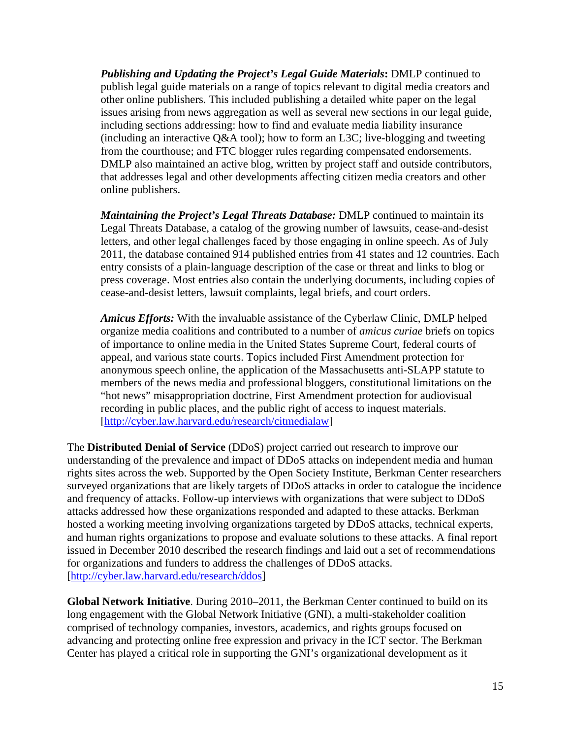*Publishing and Updating the Project's Legal Guide Materials***:** DMLP continued to publish legal guide materials on a range of topics relevant to digital media creators and other online publishers. This included publishing a detailed white paper on the legal issues arising from news aggregation as well as several new sections in our legal guide, including sections addressing: how to find and evaluate media liability insurance (including an interactive Q&A tool); how to form an L3C; live-blogging and tweeting from the courthouse; and FTC blogger rules regarding compensated endorsements. DMLP also maintained an active blog, written by project staff and outside contributors, that addresses legal and other developments affecting citizen media creators and other online publishers.

*Maintaining the Project's Legal Threats Database:* DMLP continued to maintain its Legal Threats Database, a catalog of the growing number of lawsuits, cease-and-desist letters, and other legal challenges faced by those engaging in online speech. As of July 2011, the database contained 914 published entries from 41 states and 12 countries. Each entry consists of a plain-language description of the case or threat and links to blog or press coverage. Most entries also contain the underlying documents, including copies of cease-and-desist letters, lawsuit complaints, legal briefs, and court orders.

*Amicus Efforts:* With the invaluable assistance of the Cyberlaw Clinic, DMLP helped organize media coalitions and contributed to a number of *amicus curiae* briefs on topics of importance to online media in the United States Supreme Court, federal courts of appeal, and various state courts. Topics included First Amendment protection for anonymous speech online, the application of the Massachusetts anti-SLAPP statute to members of the news media and professional bloggers, constitutional limitations on the "hot news" misappropriation doctrine, First Amendment protection for audiovisual recording in public places, and the public right of access to inquest materials. [http://cyber.law.harvard.edu/research/citmedialaw]

The **Distributed Denial of Service** (DDoS) project carried out research to improve our understanding of the prevalence and impact of DDoS attacks on independent media and human rights sites across the web. Supported by the Open Society Institute, Berkman Center researchers surveyed organizations that are likely targets of DDoS attacks in order to catalogue the incidence and frequency of attacks. Follow-up interviews with organizations that were subject to DDoS attacks addressed how these organizations responded and adapted to these attacks. Berkman hosted a working meeting involving organizations targeted by DDoS attacks, technical experts, and human rights organizations to propose and evaluate solutions to these attacks. A final report issued in December 2010 described the research findings and laid out a set of recommendations for organizations and funders to address the challenges of DDoS attacks. [http://cyber.law.harvard.edu/research/ddos]

**Global Network Initiative**. During 2010–2011, the Berkman Center continued to build on its long engagement with the Global Network Initiative (GNI), a multi-stakeholder coalition comprised of technology companies, investors, academics, and rights groups focused on advancing and protecting online free expression and privacy in the ICT sector. The Berkman Center has played a critical role in supporting the GNI's organizational development as it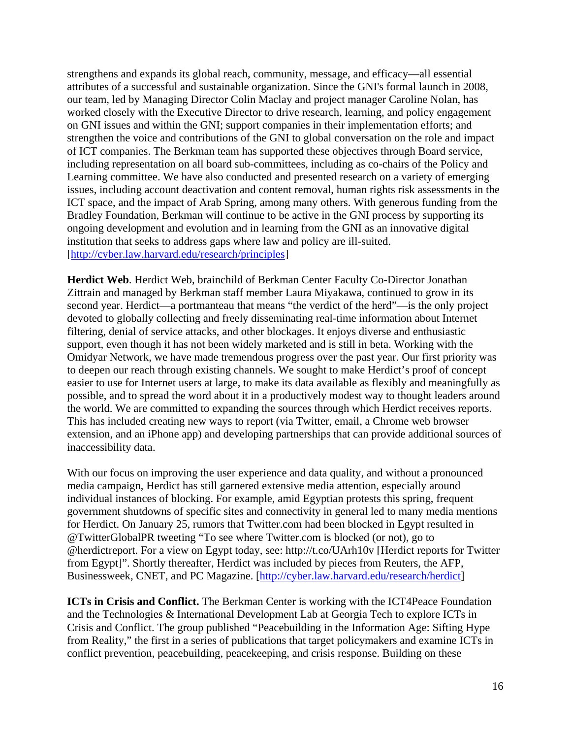strengthens and expands its global reach, community, message, and efficacy—all essential attributes of a successful and sustainable organization. Since the GNI's formal launch in 2008, our team, led by Managing Director Colin Maclay and project manager Caroline Nolan, has worked closely with the Executive Director to drive research, learning, and policy engagement on GNI issues and within the GNI; support companies in their implementation efforts; and strengthen the voice and contributions of the GNI to global conversation on the role and impact of ICT companies. The Berkman team has supported these objectives through Board service, including representation on all board sub-committees, including as co-chairs of the Policy and Learning committee. We have also conducted and presented research on a variety of emerging issues, including account deactivation and content removal, human rights risk assessments in the ICT space, and the impact of Arab Spring, among many others. With generous funding from the Bradley Foundation, Berkman will continue to be active in the GNI process by supporting its ongoing development and evolution and in learning from the GNI as an innovative digital institution that seeks to address gaps where law and policy are ill-suited. [http://cyber.law.harvard.edu/research/principles]

**Herdict Web**. Herdict Web, brainchild of Berkman Center Faculty Co-Director Jonathan Zittrain and managed by Berkman staff member Laura Miyakawa, continued to grow in its second year. Herdict—a portmanteau that means "the verdict of the herd"—is the only project devoted to globally collecting and freely disseminating real-time information about Internet filtering, denial of service attacks, and other blockages. It enjoys diverse and enthusiastic support, even though it has not been widely marketed and is still in beta. Working with the Omidyar Network, we have made tremendous progress over the past year. Our first priority was to deepen our reach through existing channels. We sought to make Herdict's proof of concept easier to use for Internet users at large, to make its data available as flexibly and meaningfully as possible, and to spread the word about it in a productively modest way to thought leaders around the world. We are committed to expanding the sources through which Herdict receives reports. This has included creating new ways to report (via Twitter, email, a Chrome web browser extension, and an iPhone app) and developing partnerships that can provide additional sources of inaccessibility data.

With our focus on improving the user experience and data quality, and without a pronounced media campaign, Herdict has still garnered extensive media attention, especially around individual instances of blocking. For example, amid Egyptian protests this spring, frequent government shutdowns of specific sites and connectivity in general led to many media mentions for Herdict. On January 25, rumors that Twitter.com had been blocked in Egypt resulted in @TwitterGlobalPR tweeting "To see where Twitter.com is blocked (or not), go to @herdictreport. For a view on Egypt today, see: http://t.co/UArh10v [Herdict reports for Twitter from Egypt]". Shortly thereafter, Herdict was included by pieces from Reuters, the AFP, Businessweek, CNET, and PC Magazine. [http://cyber.law.harvard.edu/research/herdict]

**ICTs in Crisis and Conflict.** The Berkman Center is working with the ICT4Peace Foundation and the Technologies & International Development Lab at Georgia Tech to explore ICTs in Crisis and Conflict. The group published "Peacebuilding in the Information Age: Sifting Hype from Reality," the first in a series of publications that target policymakers and examine ICTs in conflict prevention, peacebuilding, peacekeeping, and crisis response. Building on these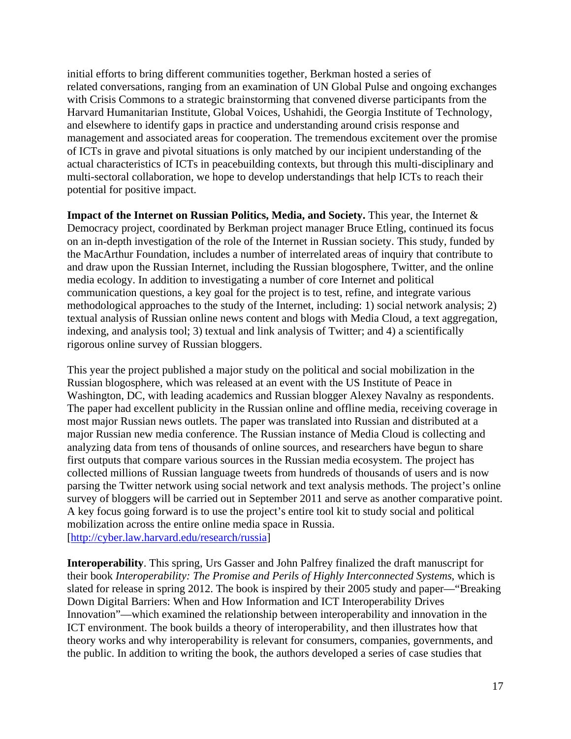initial efforts to bring different communities together, Berkman hosted a series of related conversations, ranging from an examination of UN Global Pulse and ongoing exchanges with Crisis Commons to a strategic brainstorming that convened diverse participants from the Harvard Humanitarian Institute, Global Voices, Ushahidi, the Georgia Institute of Technology, and elsewhere to identify gaps in practice and understanding around crisis response and management and associated areas for cooperation. The tremendous excitement over the promise of ICTs in grave and pivotal situations is only matched by our incipient understanding of the actual characteristics of ICTs in peacebuilding contexts, but through this multi-disciplinary and multi-sectoral collaboration, we hope to develop understandings that help ICTs to reach their potential for positive impact.

**Impact of the Internet on Russian Politics, Media, and Society.** This year, the Internet  $\&$ Democracy project, coordinated by Berkman project manager Bruce Etling, continued its focus on an in-depth investigation of the role of the Internet in Russian society. This study, funded by the MacArthur Foundation, includes a number of interrelated areas of inquiry that contribute to and draw upon the Russian Internet, including the Russian blogosphere, Twitter, and the online media ecology. In addition to investigating a number of core Internet and political communication questions, a key goal for the project is to test, refine, and integrate various methodological approaches to the study of the Internet, including: 1) social network analysis; 2) textual analysis of Russian online news content and blogs with Media Cloud, a text aggregation, indexing, and analysis tool; 3) textual and link analysis of Twitter; and 4) a scientifically rigorous online survey of Russian bloggers.

This year the project published a major study on the political and social mobilization in the Russian blogosphere, which was released at an event with the US Institute of Peace in Washington, DC, with leading academics and Russian blogger Alexey Navalny as respondents. The paper had excellent publicity in the Russian online and offline media, receiving coverage in most major Russian news outlets. The paper was translated into Russian and distributed at a major Russian new media conference. The Russian instance of Media Cloud is collecting and analyzing data from tens of thousands of online sources, and researchers have begun to share first outputs that compare various sources in the Russian media ecosystem. The project has collected millions of Russian language tweets from hundreds of thousands of users and is now parsing the Twitter network using social network and text analysis methods. The project's online survey of bloggers will be carried out in September 2011 and serve as another comparative point. A key focus going forward is to use the project's entire tool kit to study social and political mobilization across the entire online media space in Russia. [http://cyber.law.harvard.edu/research/russia]

**Interoperability**. This spring, Urs Gasser and John Palfrey finalized the draft manuscript for their book *Interoperability: The Promise and Perils of Highly Interconnected Systems*, which is slated for release in spring 2012. The book is inspired by their 2005 study and paper—"Breaking Down Digital Barriers: When and How Information and ICT Interoperability Drives Innovation"—which examined the relationship between interoperability and innovation in the ICT environment. The book builds a theory of interoperability, and then illustrates how that theory works and why interoperability is relevant for consumers, companies, governments, and the public. In addition to writing the book, the authors developed a series of case studies that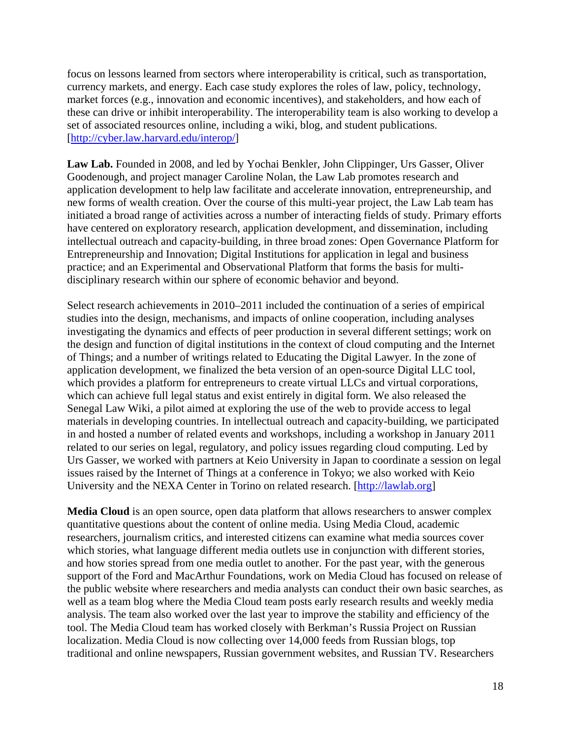focus on lessons learned from sectors where interoperability is critical, such as transportation, currency markets, and energy. Each case study explores the roles of law, policy, technology, market forces (e.g., innovation and economic incentives), and stakeholders, and how each of these can drive or inhibit interoperability. The interoperability team is also working to develop a set of associated resources online, including a wiki, blog, and student publications. [http://cyber.law.harvard.edu/interop/]

**Law Lab.** Founded in 2008, and led by Yochai Benkler, John Clippinger, Urs Gasser, Oliver Goodenough, and project manager Caroline Nolan, the Law Lab promotes research and application development to help law facilitate and accelerate innovation, entrepreneurship, and new forms of wealth creation. Over the course of this multi-year project, the Law Lab team has initiated a broad range of activities across a number of interacting fields of study. Primary efforts have centered on exploratory research, application development, and dissemination, including intellectual outreach and capacity-building, in three broad zones: Open Governance Platform for Entrepreneurship and Innovation; Digital Institutions for application in legal and business practice; and an Experimental and Observational Platform that forms the basis for multidisciplinary research within our sphere of economic behavior and beyond.

Select research achievements in 2010–2011 included the continuation of a series of empirical studies into the design, mechanisms, and impacts of online cooperation, including analyses investigating the dynamics and effects of peer production in several different settings; work on the design and function of digital institutions in the context of cloud computing and the Internet of Things; and a number of writings related to Educating the Digital Lawyer. In the zone of application development, we finalized the beta version of an open-source Digital LLC tool, which provides a platform for entrepreneurs to create virtual LLCs and virtual corporations, which can achieve full legal status and exist entirely in digital form. We also released the Senegal Law Wiki, a pilot aimed at exploring the use of the web to provide access to legal materials in developing countries. In intellectual outreach and capacity-building, we participated in and hosted a number of related events and workshops, including a workshop in January 2011 related to our series on legal, regulatory, and policy issues regarding cloud computing. Led by Urs Gasser, we worked with partners at Keio University in Japan to coordinate a session on legal issues raised by the Internet of Things at a conference in Tokyo; we also worked with Keio University and the NEXA Center in Torino on related research. [http://lawlab.org]

**Media Cloud** is an open source, open data platform that allows researchers to answer complex quantitative questions about the content of online media. Using Media Cloud, academic researchers, journalism critics, and interested citizens can examine what media sources cover which stories, what language different media outlets use in conjunction with different stories, and how stories spread from one media outlet to another. For the past year, with the generous support of the Ford and MacArthur Foundations, work on Media Cloud has focused on release of the public website where researchers and media analysts can conduct their own basic searches, as well as a team blog where the Media Cloud team posts early research results and weekly media analysis. The team also worked over the last year to improve the stability and efficiency of the tool. The Media Cloud team has worked closely with Berkman's Russia Project on Russian localization. Media Cloud is now collecting over 14,000 feeds from Russian blogs, top traditional and online newspapers, Russian government websites, and Russian TV. Researchers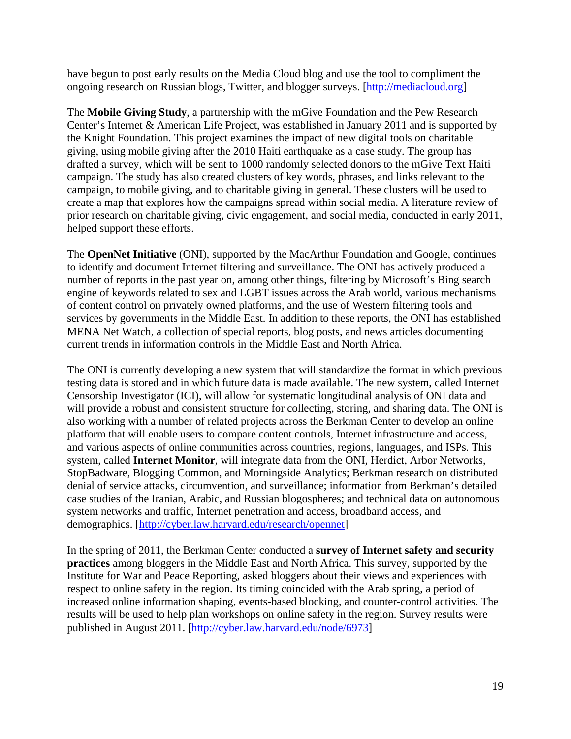have begun to post early results on the Media Cloud blog and use the tool to compliment the ongoing research on Russian blogs, Twitter, and blogger surveys. [http://mediacloud.org]

The **Mobile Giving Study**, a partnership with the mGive Foundation and the Pew Research Center's Internet & American Life Project, was established in January 2011 and is supported by the Knight Foundation. This project examines the impact of new digital tools on charitable giving, using mobile giving after the 2010 Haiti earthquake as a case study. The group has drafted a survey, which will be sent to 1000 randomly selected donors to the mGive Text Haiti campaign. The study has also created clusters of key words, phrases, and links relevant to the campaign, to mobile giving, and to charitable giving in general. These clusters will be used to create a map that explores how the campaigns spread within social media. A literature review of prior research on charitable giving, civic engagement, and social media, conducted in early 2011, helped support these efforts.

The **OpenNet Initiative** (ONI), supported by the MacArthur Foundation and Google, continues to identify and document Internet filtering and surveillance. The ONI has actively produced a number of reports in the past year on, among other things, filtering by Microsoft's Bing search engine of keywords related to sex and LGBT issues across the Arab world, various mechanisms of content control on privately owned platforms, and the use of Western filtering tools and services by governments in the Middle East. In addition to these reports, the ONI has established MENA Net Watch, a collection of special reports, blog posts, and news articles documenting current trends in information controls in the Middle East and North Africa.

The ONI is currently developing a new system that will standardize the format in which previous testing data is stored and in which future data is made available. The new system, called Internet Censorship Investigator (ICI), will allow for systematic longitudinal analysis of ONI data and will provide a robust and consistent structure for collecting, storing, and sharing data. The ONI is also working with a number of related projects across the Berkman Center to develop an online platform that will enable users to compare content controls, Internet infrastructure and access, and various aspects of online communities across countries, regions, languages, and ISPs. This system, called **Internet Monitor**, will integrate data from the ONI, Herdict, Arbor Networks, StopBadware, Blogging Common, and Morningside Analytics; Berkman research on distributed denial of service attacks, circumvention, and surveillance; information from Berkman's detailed case studies of the Iranian, Arabic, and Russian blogospheres; and technical data on autonomous system networks and traffic, Internet penetration and access, broadband access, and demographics. [http://cyber.law.harvard.edu/research/opennet]

In the spring of 2011, the Berkman Center conducted a **survey of Internet safety and security practices** among bloggers in the Middle East and North Africa. This survey, supported by the Institute for War and Peace Reporting, asked bloggers about their views and experiences with respect to online safety in the region. Its timing coincided with the Arab spring, a period of increased online information shaping, events-based blocking, and counter-control activities. The results will be used to help plan workshops on online safety in the region. Survey results were published in August 2011. [http://cyber.law.harvard.edu/node/6973]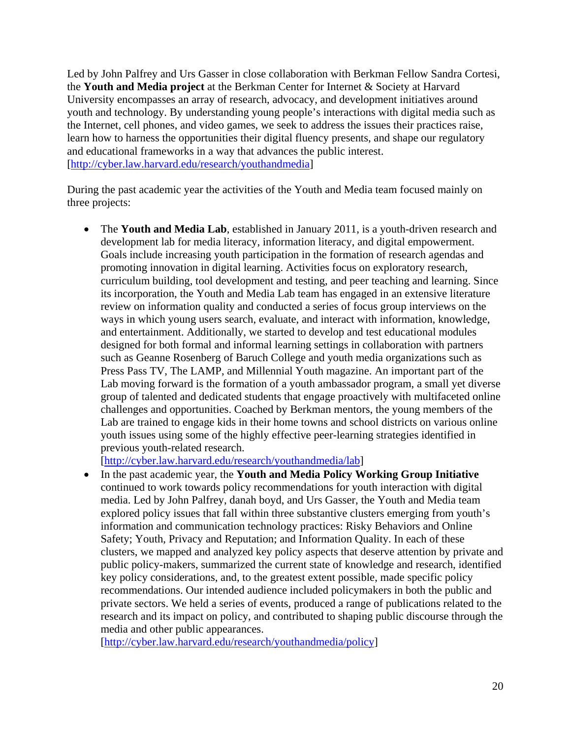Led by John Palfrey and Urs Gasser in close collaboration with Berkman Fellow Sandra Cortesi, the **Youth and Media project** at the Berkman Center for Internet & Society at Harvard University encompasses an array of research, advocacy, and development initiatives around youth and technology. By understanding young people's interactions with digital media such as the Internet, cell phones, and video games, we seek to address the issues their practices raise, learn how to harness the opportunities their digital fluency presents, and shape our regulatory and educational frameworks in a way that advances the public interest. [http://cyber.law.harvard.edu/research/youthandmedia]

During the past academic year the activities of the Youth and Media team focused mainly on three projects:

• The **Youth and Media Lab**, established in January 2011, is a youth-driven research and development lab for media literacy, information literacy, and digital empowerment. Goals include increasing youth participation in the formation of research agendas and promoting innovation in digital learning. Activities focus on exploratory research, curriculum building, tool development and testing, and peer teaching and learning. Since its incorporation, the Youth and Media Lab team has engaged in an extensive literature review on information quality and conducted a series of focus group interviews on the ways in which young users search, evaluate, and interact with information, knowledge, and entertainment. Additionally, we started to develop and test educational modules designed for both formal and informal learning settings in collaboration with partners such as Geanne Rosenberg of Baruch College and youth media organizations such as Press Pass TV, The LAMP, and Millennial Youth magazine. An important part of the Lab moving forward is the formation of a youth ambassador program, a small yet diverse group of talented and dedicated students that engage proactively with multifaceted online challenges and opportunities. Coached by Berkman mentors, the young members of the Lab are trained to engage kids in their home towns and school districts on various online youth issues using some of the highly effective peer-learning strategies identified in previous youth-related research.

[http://cyber.law.harvard.edu/research/youthandmedia/lab]

• In the past academic year, the **Youth and Media Policy Working Group Initiative**  continued to work towards policy recommendations for youth interaction with digital media. Led by John Palfrey, danah boyd, and Urs Gasser, the Youth and Media team explored policy issues that fall within three substantive clusters emerging from youth's information and communication technology practices: Risky Behaviors and Online Safety; Youth, Privacy and Reputation; and Information Quality. In each of these clusters, we mapped and analyzed key policy aspects that deserve attention by private and public policy-makers, summarized the current state of knowledge and research, identified key policy considerations, and, to the greatest extent possible, made specific policy recommendations. Our intended audience included policymakers in both the public and private sectors. We held a series of events, produced a range of publications related to the research and its impact on policy, and contributed to shaping public discourse through the media and other public appearances.

[http://cyber.law.harvard.edu/research/youthandmedia/policy]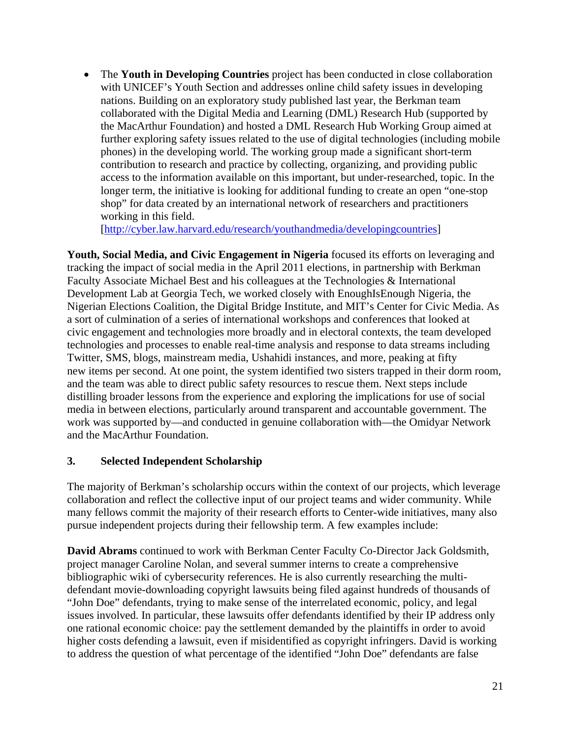• The **Youth in Developing Countries** project has been conducted in close collaboration with UNICEF's Youth Section and addresses online child safety issues in developing nations. Building on an exploratory study published last year, the Berkman team collaborated with the Digital Media and Learning (DML) Research Hub (supported by the MacArthur Foundation) and hosted a DML Research Hub Working Group aimed at further exploring safety issues related to the use of digital technologies (including mobile phones) in the developing world. The working group made a significant short-term contribution to research and practice by collecting, organizing, and providing public access to the information available on this important, but under-researched, topic. In the longer term, the initiative is looking for additional funding to create an open "one-stop shop" for data created by an international network of researchers and practitioners working in this field.

[http://cyber.law.harvard.edu/research/youthandmedia/developingcountries]

**Youth, Social Media, and Civic Engagement in Nigeria** focused its efforts on leveraging and tracking the impact of social media in the April 2011 elections, in partnership with Berkman Faculty Associate Michael Best and his colleagues at the Technologies & International Development Lab at Georgia Tech, we worked closely with EnoughIsEnough Nigeria, the Nigerian Elections Coalition, the Digital Bridge Institute, and MIT's Center for Civic Media. As a sort of culmination of a series of international workshops and conferences that looked at civic engagement and technologies more broadly and in electoral contexts, the team developed technologies and processes to enable real-time analysis and response to data streams including Twitter, SMS, blogs, mainstream media, Ushahidi instances, and more, peaking at fifty new items per second. At one point, the system identified two sisters trapped in their dorm room, and the team was able to direct public safety resources to rescue them. Next steps include distilling broader lessons from the experience and exploring the implications for use of social media in between elections, particularly around transparent and accountable government. The work was supported by—and conducted in genuine collaboration with—the Omidyar Network and the MacArthur Foundation.

## **3. Selected Independent Scholarship**

The majority of Berkman's scholarship occurs within the context of our projects, which leverage collaboration and reflect the collective input of our project teams and wider community. While many fellows commit the majority of their research efforts to Center-wide initiatives, many also pursue independent projects during their fellowship term. A few examples include:

**David Abrams** continued to work with Berkman Center Faculty Co-Director Jack Goldsmith, project manager Caroline Nolan, and several summer interns to create a comprehensive bibliographic wiki of cybersecurity references. He is also currently researching the multidefendant movie-downloading copyright lawsuits being filed against hundreds of thousands of "John Doe" defendants, trying to make sense of the interrelated economic, policy, and legal issues involved. In particular, these lawsuits offer defendants identified by their IP address only one rational economic choice: pay the settlement demanded by the plaintiffs in order to avoid higher costs defending a lawsuit, even if misidentified as copyright infringers. David is working to address the question of what percentage of the identified "John Doe" defendants are false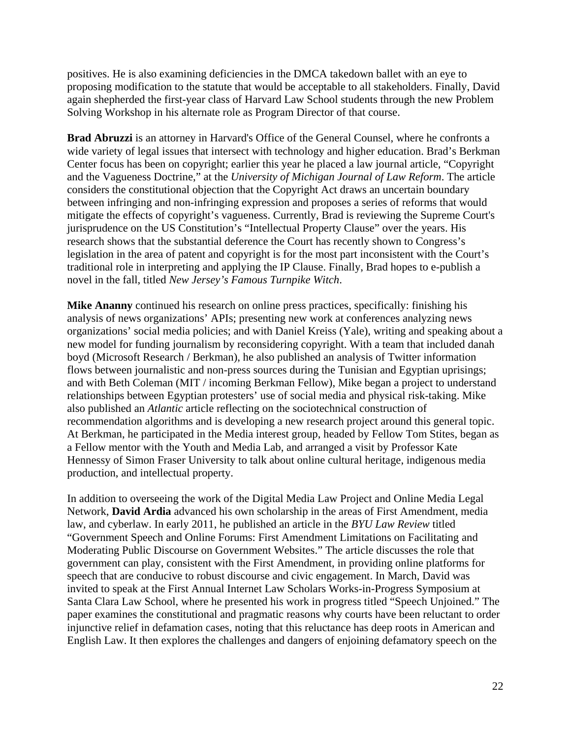positives. He is also examining deficiencies in the DMCA takedown ballet with an eye to proposing modification to the statute that would be acceptable to all stakeholders. Finally, David again shepherded the first-year class of Harvard Law School students through the new Problem Solving Workshop in his alternate role as Program Director of that course.

**Brad Abruzzi** is an attorney in Harvard's Office of the General Counsel, where he confronts a wide variety of legal issues that intersect with technology and higher education. Brad's Berkman Center focus has been on copyright; earlier this year he placed a law journal article, "Copyright and the Vagueness Doctrine," at the *University of Michigan Journal of Law Reform*. The article considers the constitutional objection that the Copyright Act draws an uncertain boundary between infringing and non-infringing expression and proposes a series of reforms that would mitigate the effects of copyright's vagueness. Currently, Brad is reviewing the Supreme Court's jurisprudence on the US Constitution's "Intellectual Property Clause" over the years. His research shows that the substantial deference the Court has recently shown to Congress's legislation in the area of patent and copyright is for the most part inconsistent with the Court's traditional role in interpreting and applying the IP Clause. Finally, Brad hopes to e-publish a novel in the fall, titled *New Jersey's Famous Turnpike Witch*.

**Mike Ananny** continued his research on online press practices, specifically: finishing his analysis of news organizations' APIs; presenting new work at conferences analyzing news organizations' social media policies; and with Daniel Kreiss (Yale), writing and speaking about a new model for funding journalism by reconsidering copyright. With a team that included danah boyd (Microsoft Research / Berkman), he also published an analysis of Twitter information flows between journalistic and non-press sources during the Tunisian and Egyptian uprisings; and with Beth Coleman (MIT / incoming Berkman Fellow), Mike began a project to understand relationships between Egyptian protesters' use of social media and physical risk-taking. Mike also published an *Atlantic* article reflecting on the sociotechnical construction of recommendation algorithms and is developing a new research project around this general topic. At Berkman, he participated in the Media interest group, headed by Fellow Tom Stites, began as a Fellow mentor with the Youth and Media Lab, and arranged a visit by Professor Kate Hennessy of Simon Fraser University to talk about online cultural heritage, indigenous media production, and intellectual property.

In addition to overseeing the work of the Digital Media Law Project and Online Media Legal Network, **David Ardia** advanced his own scholarship in the areas of First Amendment, media law, and cyberlaw. In early 2011, he published an article in the *BYU Law Review* titled "Government Speech and Online Forums: First Amendment Limitations on Facilitating and Moderating Public Discourse on Government Websites." The article discusses the role that government can play, consistent with the First Amendment, in providing online platforms for speech that are conducive to robust discourse and civic engagement. In March, David was invited to speak at the First Annual Internet Law Scholars Works-in-Progress Symposium at Santa Clara Law School, where he presented his work in progress titled "Speech Unjoined." The paper examines the constitutional and pragmatic reasons why courts have been reluctant to order injunctive relief in defamation cases, noting that this reluctance has deep roots in American and English Law. It then explores the challenges and dangers of enjoining defamatory speech on the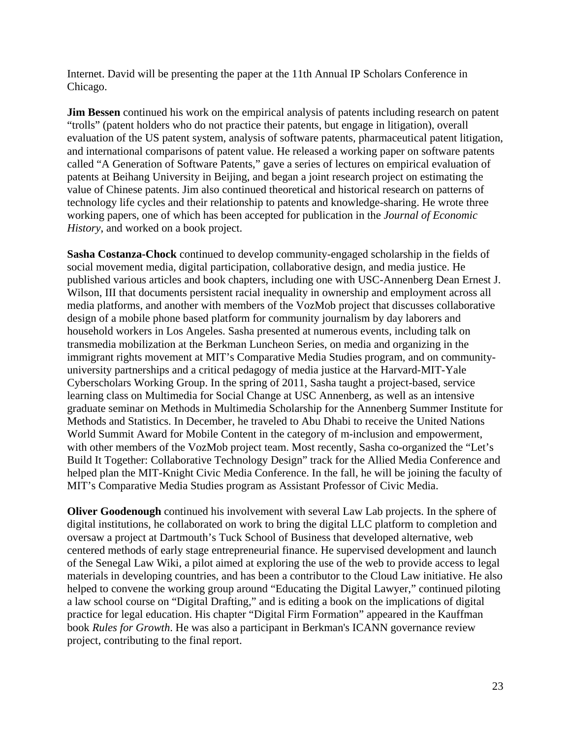Internet. David will be presenting the paper at the 11th Annual IP Scholars Conference in Chicago.

**Jim Bessen** continued his work on the empirical analysis of patents including research on patent "trolls" (patent holders who do not practice their patents, but engage in litigation), overall evaluation of the US patent system, analysis of software patents, pharmaceutical patent litigation, and international comparisons of patent value. He released a working paper on software patents called "A Generation of Software Patents," gave a series of lectures on empirical evaluation of patents at Beihang University in Beijing, and began a joint research project on estimating the value of Chinese patents. Jim also continued theoretical and historical research on patterns of technology life cycles and their relationship to patents and knowledge-sharing. He wrote three working papers, one of which has been accepted for publication in the *Journal of Economic History*, and worked on a book project.

**Sasha Costanza-Chock** continued to develop community-engaged scholarship in the fields of social movement media, digital participation, collaborative design, and media justice. He published various articles and book chapters, including one with USC-Annenberg Dean Ernest J. Wilson, III that documents persistent racial inequality in ownership and employment across all media platforms, and another with members of the VozMob project that discusses collaborative design of a mobile phone based platform for community journalism by day laborers and household workers in Los Angeles. Sasha presented at numerous events, including talk on transmedia mobilization at the Berkman Luncheon Series, on media and organizing in the immigrant rights movement at MIT's Comparative Media Studies program, and on communityuniversity partnerships and a critical pedagogy of media justice at the Harvard-MIT-Yale Cyberscholars Working Group. In the spring of 2011, Sasha taught a project-based, service learning class on Multimedia for Social Change at USC Annenberg, as well as an intensive graduate seminar on Methods in Multimedia Scholarship for the Annenberg Summer Institute for Methods and Statistics. In December, he traveled to Abu Dhabi to receive the United Nations World Summit Award for Mobile Content in the category of m-inclusion and empowerment, with other members of the VozMob project team. Most recently, Sasha co-organized the "Let's Build It Together: Collaborative Technology Design" track for the Allied Media Conference and helped plan the MIT-Knight Civic Media Conference. In the fall, he will be joining the faculty of MIT's Comparative Media Studies program as Assistant Professor of Civic Media.

**Oliver Goodenough** continued his involvement with several Law Lab projects. In the sphere of digital institutions, he collaborated on work to bring the digital LLC platform to completion and oversaw a project at Dartmouth's Tuck School of Business that developed alternative, web centered methods of early stage entrepreneurial finance. He supervised development and launch of the Senegal Law Wiki, a pilot aimed at exploring the use of the web to provide access to legal materials in developing countries, and has been a contributor to the Cloud Law initiative. He also helped to convene the working group around "Educating the Digital Lawyer," continued piloting a law school course on "Digital Drafting," and is editing a book on the implications of digital practice for legal education. His chapter "Digital Firm Formation" appeared in the Kauffman book *Rules for Growth*. He was also a participant in Berkman's ICANN governance review project, contributing to the final report.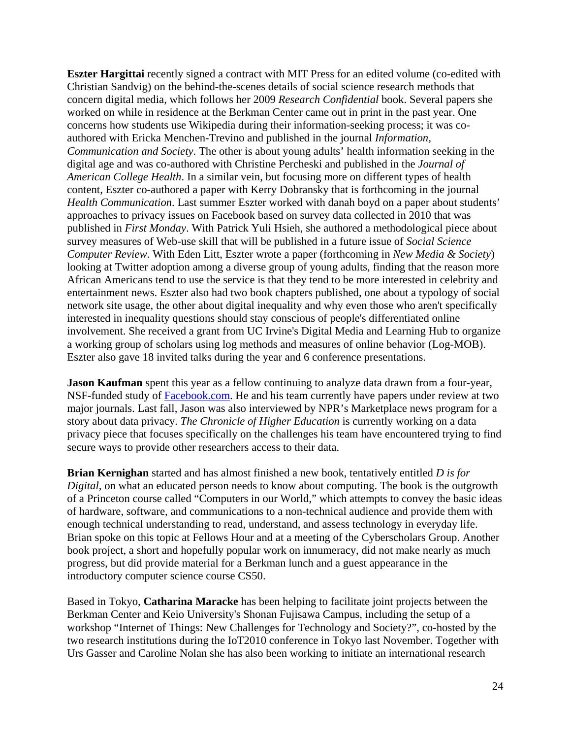**Eszter Hargittai** recently signed a contract with MIT Press for an edited volume (co-edited with Christian Sandvig) on the behind-the-scenes details of social science research methods that concern digital media, which follows her 2009 *Research Confidential* book. Several papers she worked on while in residence at the Berkman Center came out in print in the past year. One concerns how students use Wikipedia during their information-seeking process; it was coauthored with Ericka Menchen-Trevino and published in the journal *Information, Communication and Society*. The other is about young adults' health information seeking in the digital age and was co-authored with Christine Percheski and published in the *Journal of American College Health*. In a similar vein, but focusing more on different types of health content, Eszter co-authored a paper with Kerry Dobransky that is forthcoming in the journal *Health Communication*. Last summer Eszter worked with danah boyd on a paper about students' approaches to privacy issues on Facebook based on survey data collected in 2010 that was published in *First Monday*. With Patrick Yuli Hsieh, she authored a methodological piece about survey measures of Web-use skill that will be published in a future issue of *Social Science Computer Review*. With Eden Litt, Eszter wrote a paper (forthcoming in *New Media & Society*) looking at Twitter adoption among a diverse group of young adults, finding that the reason more African Americans tend to use the service is that they tend to be more interested in celebrity and entertainment news. Eszter also had two book chapters published, one about a typology of social network site usage, the other about digital inequality and why even those who aren't specifically interested in inequality questions should stay conscious of people's differentiated online involvement. She received a grant from UC Irvine's Digital Media and Learning Hub to organize a working group of scholars using log methods and measures of online behavior (Log-MOB). Eszter also gave 18 invited talks during the year and 6 conference presentations.

**Jason Kaufman** spent this year as a fellow continuing to analyze data drawn from a four-year, NSF-funded study of Facebook.com. He and his team currently have papers under review at two major journals. Last fall, Jason was also interviewed by NPR's Marketplace news program for a story about data privacy. *The Chronicle of Higher Education* is currently working on a data privacy piece that focuses specifically on the challenges his team have encountered trying to find secure ways to provide other researchers access to their data.

**Brian Kernighan** started and has almost finished a new book, tentatively entitled *D is for Digital*, on what an educated person needs to know about computing. The book is the outgrowth of a Princeton course called "Computers in our World," which attempts to convey the basic ideas of hardware, software, and communications to a non-technical audience and provide them with enough technical understanding to read, understand, and assess technology in everyday life. Brian spoke on this topic at Fellows Hour and at a meeting of the Cyberscholars Group. Another book project, a short and hopefully popular work on innumeracy, did not make nearly as much progress, but did provide material for a Berkman lunch and a guest appearance in the introductory computer science course CS50.

Based in Tokyo, **Catharina Maracke** has been helping to facilitate joint projects between the Berkman Center and Keio University's Shonan Fujisawa Campus, including the setup of a workshop "Internet of Things: New Challenges for Technology and Society?", co-hosted by the two research institutions during the IoT2010 conference in Tokyo last November. Together with Urs Gasser and Caroline Nolan she has also been working to initiate an international research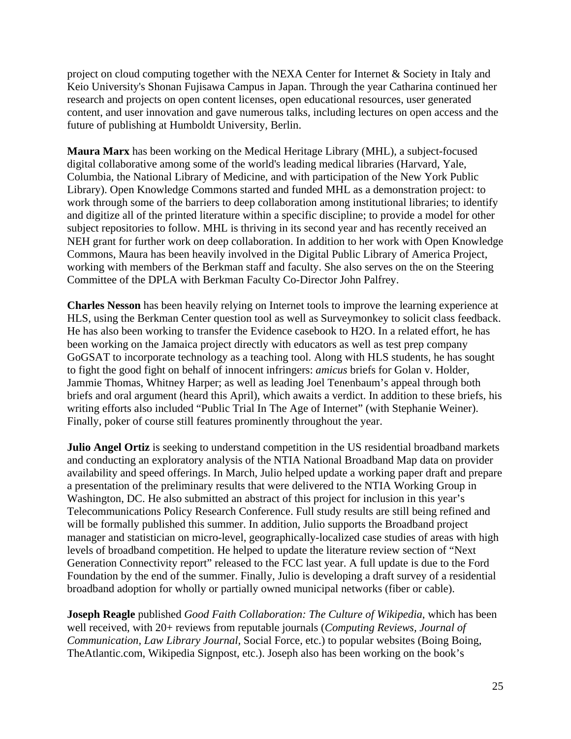project on cloud computing together with the NEXA Center for Internet & Society in Italy and Keio University's Shonan Fujisawa Campus in Japan. Through the year Catharina continued her research and projects on open content licenses, open educational resources, user generated content, and user innovation and gave numerous talks, including lectures on open access and the future of publishing at Humboldt University, Berlin.

**Maura Marx** has been working on the Medical Heritage Library (MHL), a subject-focused digital collaborative among some of the world's leading medical libraries (Harvard, Yale, Columbia, the National Library of Medicine, and with participation of the New York Public Library). Open Knowledge Commons started and funded MHL as a demonstration project: to work through some of the barriers to deep collaboration among institutional libraries; to identify and digitize all of the printed literature within a specific discipline; to provide a model for other subject repositories to follow. MHL is thriving in its second year and has recently received an NEH grant for further work on deep collaboration. In addition to her work with Open Knowledge Commons, Maura has been heavily involved in the Digital Public Library of America Project, working with members of the Berkman staff and faculty. She also serves on the on the Steering Committee of the DPLA with Berkman Faculty Co-Director John Palfrey.

**Charles Nesson** has been heavily relying on Internet tools to improve the learning experience at HLS, using the Berkman Center question tool as well as Surveymonkey to solicit class feedback. He has also been working to transfer the Evidence casebook to H2O. In a related effort, he has been working on the Jamaica project directly with educators as well as test prep company GoGSAT to incorporate technology as a teaching tool. Along with HLS students, he has sought to fight the good fight on behalf of innocent infringers: *amicus* briefs for Golan v. Holder, Jammie Thomas, Whitney Harper; as well as leading Joel Tenenbaum's appeal through both briefs and oral argument (heard this April), which awaits a verdict. In addition to these briefs, his writing efforts also included "Public Trial In The Age of Internet" (with Stephanie Weiner). Finally, poker of course still features prominently throughout the year.

**Julio Angel Ortiz** is seeking to understand competition in the US residential broadband markets and conducting an exploratory analysis of the NTIA National Broadband Map data on provider availability and speed offerings. In March, Julio helped update a working paper draft and prepare a presentation of the preliminary results that were delivered to the NTIA Working Group in Washington, DC. He also submitted an abstract of this project for inclusion in this year's Telecommunications Policy Research Conference. Full study results are still being refined and will be formally published this summer. In addition, Julio supports the Broadband project manager and statistician on micro-level, geographically-localized case studies of areas with high levels of broadband competition. He helped to update the literature review section of "Next Generation Connectivity report" released to the FCC last year. A full update is due to the Ford Foundation by the end of the summer. Finally, Julio is developing a draft survey of a residential broadband adoption for wholly or partially owned municipal networks (fiber or cable).

**Joseph Reagle** published *Good Faith Collaboration: The Culture of Wikipedia*, which has been well received, with 20+ reviews from reputable journals (*Computing Reviews, Journal of Communication, Law Library Journal,* Social Force, etc.) to popular websites (Boing Boing, TheAtlantic.com, Wikipedia Signpost, etc.). Joseph also has been working on the book's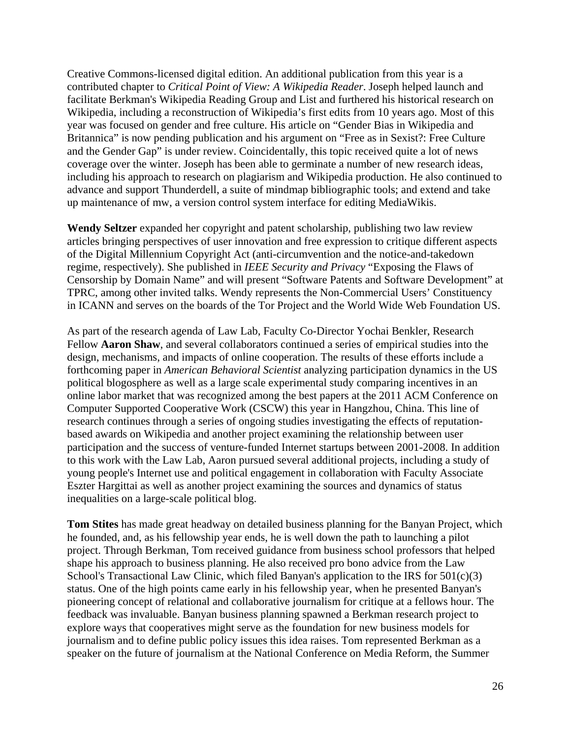Creative Commons-licensed digital edition. An additional publication from this year is a contributed chapter to *Critical Point of View: A Wikipedia Reader*. Joseph helped launch and facilitate Berkman's Wikipedia Reading Group and List and furthered his historical research on Wikipedia, including a reconstruction of Wikipedia's first edits from 10 years ago. Most of this year was focused on gender and free culture. His article on "Gender Bias in Wikipedia and Britannica" is now pending publication and his argument on "Free as in Sexist?: Free Culture and the Gender Gap" is under review. Coincidentally, this topic received quite a lot of news coverage over the winter. Joseph has been able to germinate a number of new research ideas, including his approach to research on plagiarism and Wikipedia production. He also continued to advance and support Thunderdell, a suite of mindmap bibliographic tools; and extend and take up maintenance of mw, a version control system interface for editing MediaWikis.

**Wendy Seltzer** expanded her copyright and patent scholarship, publishing two law review articles bringing perspectives of user innovation and free expression to critique different aspects of the Digital Millennium Copyright Act (anti-circumvention and the notice-and-takedown regime, respectively). She published in *IEEE Security and Privacy* "Exposing the Flaws of Censorship by Domain Name" and will present "Software Patents and Software Development" at TPRC, among other invited talks. Wendy represents the Non-Commercial Users' Constituency in ICANN and serves on the boards of the Tor Project and the World Wide Web Foundation US.

As part of the research agenda of Law Lab, Faculty Co-Director Yochai Benkler, Research Fellow **Aaron Shaw**, and several collaborators continued a series of empirical studies into the design, mechanisms, and impacts of online cooperation. The results of these efforts include a forthcoming paper in *American Behavioral Scientist* analyzing participation dynamics in the US political blogosphere as well as a large scale experimental study comparing incentives in an online labor market that was recognized among the best papers at the 2011 ACM Conference on Computer Supported Cooperative Work (CSCW) this year in Hangzhou, China. This line of research continues through a series of ongoing studies investigating the effects of reputationbased awards on Wikipedia and another project examining the relationship between user participation and the success of venture-funded Internet startups between 2001-2008. In addition to this work with the Law Lab, Aaron pursued several additional projects, including a study of young people's Internet use and political engagement in collaboration with Faculty Associate Eszter Hargittai as well as another project examining the sources and dynamics of status inequalities on a large-scale political blog.

**Tom Stites** has made great headway on detailed business planning for the Banyan Project, which he founded, and, as his fellowship year ends, he is well down the path to launching a pilot project. Through Berkman, Tom received guidance from business school professors that helped shape his approach to business planning. He also received pro bono advice from the Law School's Transactional Law Clinic, which filed Banyan's application to the IRS for 501(c)(3) status. One of the high points came early in his fellowship year, when he presented Banyan's pioneering concept of relational and collaborative journalism for critique at a fellows hour. The feedback was invaluable. Banyan business planning spawned a Berkman research project to explore ways that cooperatives might serve as the foundation for new business models for journalism and to define public policy issues this idea raises. Tom represented Berkman as a speaker on the future of journalism at the National Conference on Media Reform, the Summer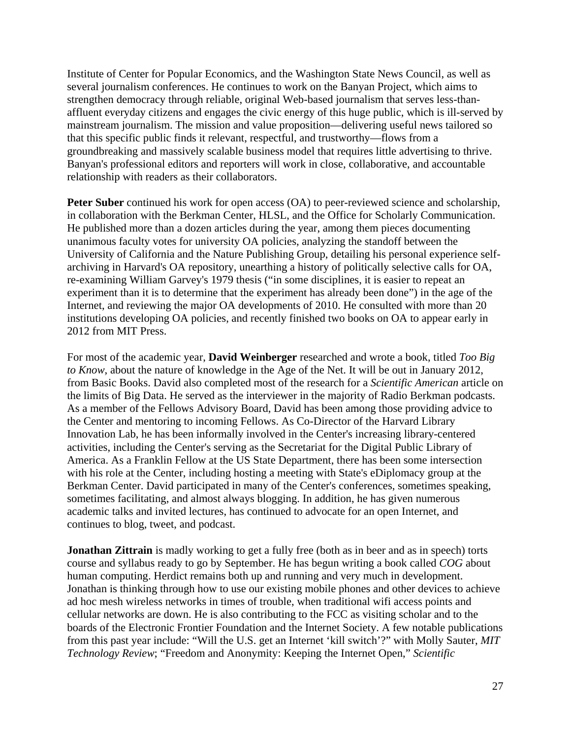Institute of Center for Popular Economics, and the Washington State News Council, as well as several journalism conferences. He continues to work on the Banyan Project, which aims to strengthen democracy through reliable, original Web-based journalism that serves less-thanaffluent everyday citizens and engages the civic energy of this huge public, which is ill-served by mainstream journalism. The mission and value proposition—delivering useful news tailored so that this specific public finds it relevant, respectful, and trustworthy—flows from a groundbreaking and massively scalable business model that requires little advertising to thrive. Banyan's professional editors and reporters will work in close, collaborative, and accountable relationship with readers as their collaborators.

**Peter Suber** continued his work for open access (OA) to peer-reviewed science and scholarship, in collaboration with the Berkman Center, HLSL, and the Office for Scholarly Communication. He published more than a dozen articles during the year, among them pieces documenting unanimous faculty votes for university OA policies, analyzing the standoff between the University of California and the Nature Publishing Group, detailing his personal experience selfarchiving in Harvard's OA repository, unearthing a history of politically selective calls for OA, re-examining William Garvey's 1979 thesis ("in some disciplines, it is easier to repeat an experiment than it is to determine that the experiment has already been done") in the age of the Internet, and reviewing the major OA developments of 2010. He consulted with more than 20 institutions developing OA policies, and recently finished two books on OA to appear early in 2012 from MIT Press.

For most of the academic year, **David Weinberger** researched and wrote a book, titled *Too Big to Know*, about the nature of knowledge in the Age of the Net. It will be out in January 2012, from Basic Books. David also completed most of the research for a *Scientific American* article on the limits of Big Data. He served as the interviewer in the majority of Radio Berkman podcasts. As a member of the Fellows Advisory Board, David has been among those providing advice to the Center and mentoring to incoming Fellows. As Co-Director of the Harvard Library Innovation Lab, he has been informally involved in the Center's increasing library-centered activities, including the Center's serving as the Secretariat for the Digital Public Library of America. As a Franklin Fellow at the US State Department, there has been some intersection with his role at the Center, including hosting a meeting with State's eDiplomacy group at the Berkman Center. David participated in many of the Center's conferences, sometimes speaking, sometimes facilitating, and almost always blogging. In addition, he has given numerous academic talks and invited lectures, has continued to advocate for an open Internet, and continues to blog, tweet, and podcast.

**Jonathan Zittrain** is madly working to get a fully free (both as in beer and as in speech) torts course and syllabus ready to go by September. He has begun writing a book called *COG* about human computing. Herdict remains both up and running and very much in development. Jonathan is thinking through how to use our existing mobile phones and other devices to achieve ad hoc mesh wireless networks in times of trouble, when traditional wifi access points and cellular networks are down. He is also contributing to the FCC as visiting scholar and to the boards of the Electronic Frontier Foundation and the Internet Society. A few notable publications from this past year include: "Will the U.S. get an Internet 'kill switch'?" with Molly Sauter, *MIT Technology Review*; "Freedom and Anonymity: Keeping the Internet Open," *Scientific*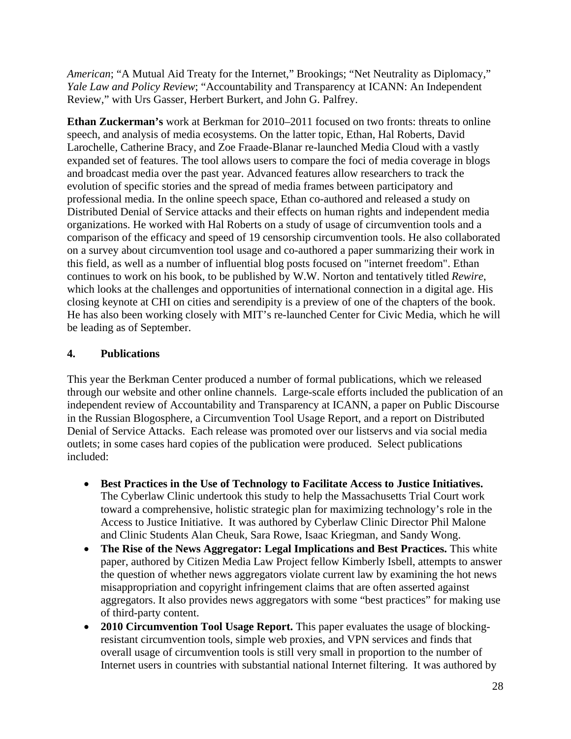*American*; "A Mutual Aid Treaty for the Internet," Brookings; "Net Neutrality as Diplomacy," *Yale Law and Policy Review*; "Accountability and Transparency at ICANN: An Independent Review," with Urs Gasser, Herbert Burkert, and John G. Palfrey.

**Ethan Zuckerman's** work at Berkman for 2010–2011 focused on two fronts: threats to online speech, and analysis of media ecosystems. On the latter topic, Ethan, Hal Roberts, David Larochelle, Catherine Bracy, and Zoe Fraade-Blanar re-launched Media Cloud with a vastly expanded set of features. The tool allows users to compare the foci of media coverage in blogs and broadcast media over the past year. Advanced features allow researchers to track the evolution of specific stories and the spread of media frames between participatory and professional media. In the online speech space, Ethan co-authored and released a study on Distributed Denial of Service attacks and their effects on human rights and independent media organizations. He worked with Hal Roberts on a study of usage of circumvention tools and a comparison of the efficacy and speed of 19 censorship circumvention tools. He also collaborated on a survey about circumvention tool usage and co-authored a paper summarizing their work in this field, as well as a number of influential blog posts focused on "internet freedom". Ethan continues to work on his book, to be published by W.W. Norton and tentatively titled *Rewire*, which looks at the challenges and opportunities of international connection in a digital age. His closing keynote at CHI on cities and serendipity is a preview of one of the chapters of the book. He has also been working closely with MIT's re-launched Center for Civic Media, which he will be leading as of September.

## **4. Publications**

This year the Berkman Center produced a number of formal publications, which we released through our website and other online channels. Large-scale efforts included the publication of an independent review of Accountability and Transparency at ICANN, a paper on Public Discourse in the Russian Blogosphere, a Circumvention Tool Usage Report, and a report on Distributed Denial of Service Attacks. Each release was promoted over our listservs and via social media outlets; in some cases hard copies of the publication were produced. Select publications included:

- **Best Practices in the Use of Technology to Facilitate Access to Justice Initiatives.**  The Cyberlaw Clinic undertook this study to help the Massachusetts Trial Court work toward a comprehensive, holistic strategic plan for maximizing technology's role in the Access to Justice Initiative. It was authored by Cyberlaw Clinic Director Phil Malone and Clinic Students Alan Cheuk, Sara Rowe, Isaac Kriegman, and Sandy Wong.
- **The Rise of the News Aggregator: Legal Implications and Best Practices.** This white paper, authored by Citizen Media Law Project fellow Kimberly Isbell, attempts to answer the question of whether news aggregators violate current law by examining the hot news misappropriation and copyright infringement claims that are often asserted against aggregators. It also provides news aggregators with some "best practices" for making use of third-party content.
- **2010 Circumvention Tool Usage Report.** This paper evaluates the usage of blockingresistant circumvention tools, simple web proxies, and VPN services and finds that overall usage of circumvention tools is still very small in proportion to the number of Internet users in countries with substantial national Internet filtering. It was authored by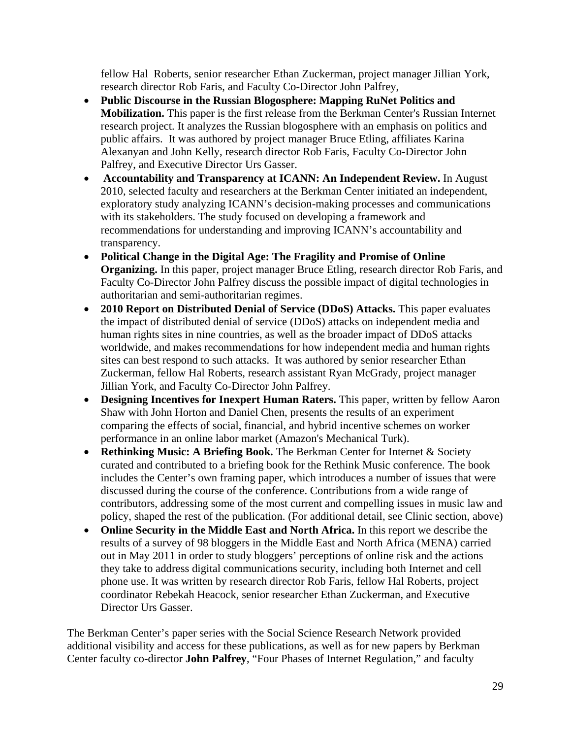fellow Hal Roberts, senior researcher Ethan Zuckerman, project manager Jillian York, research director Rob Faris, and Faculty Co-Director John Palfrey,

- **Public Discourse in the Russian Blogosphere: Mapping RuNet Politics and Mobilization.** This paper is the first release from the Berkman Center's Russian Internet research project. It analyzes the Russian blogosphere with an emphasis on politics and public affairs. It was authored by project manager Bruce Etling, affiliates Karina Alexanyan and John Kelly, research director Rob Faris, Faculty Co-Director John Palfrey, and Executive Director Urs Gasser.
- • **Accountability and Transparency at ICANN: An Independent Review.** In August 2010, selected faculty and researchers at the Berkman Center initiated an independent, exploratory study analyzing ICANN's decision-making processes and communications with its stakeholders. The study focused on developing a framework and recommendations for understanding and improving ICANN's accountability and transparency.
- **Political Change in the Digital Age: The Fragility and Promise of Online Organizing.** In this paper, project manager Bruce Etling, research director Rob Faris, and Faculty Co-Director John Palfrey discuss the possible impact of digital technologies in authoritarian and semi-authoritarian regimes.
- **2010 Report on Distributed Denial of Service (DDoS) Attacks.** This paper evaluates the impact of distributed denial of service (DDoS) attacks on independent media and human rights sites in nine countries, as well as the broader impact of DDoS attacks worldwide, and makes recommendations for how independent media and human rights sites can best respond to such attacks. It was authored by senior researcher Ethan Zuckerman, fellow Hal Roberts, research assistant Ryan McGrady, project manager Jillian York, and Faculty Co-Director John Palfrey.
- **Designing Incentives for Inexpert Human Raters.** This paper, written by fellow Aaron Shaw with John Horton and Daniel Chen, presents the results of an experiment comparing the effects of social, financial, and hybrid incentive schemes on worker performance in an online labor market (Amazon's Mechanical Turk).
- **Rethinking Music: A Briefing Book.** The Berkman Center for Internet & Society curated and contributed to a briefing book for the Rethink Music conference. The book includes the Center's own framing paper, which introduces a number of issues that were discussed during the course of the conference. Contributions from a wide range of contributors, addressing some of the most current and compelling issues in music law and policy, shaped the rest of the publication. (For additional detail, see Clinic section, above)
- **Online Security in the Middle East and North Africa.** In this report we describe the results of a survey of 98 bloggers in the Middle East and North Africa (MENA) carried out in May 2011 in order to study bloggers' perceptions of online risk and the actions they take to address digital communications security, including both Internet and cell phone use. It was written by research director Rob Faris, fellow Hal Roberts, project coordinator Rebekah Heacock, senior researcher Ethan Zuckerman, and Executive Director Urs Gasser.

The Berkman Center's paper series with the Social Science Research Network provided additional visibility and access for these publications, as well as for new papers by Berkman Center faculty co-director **John Palfrey**, "Four Phases of Internet Regulation," and faculty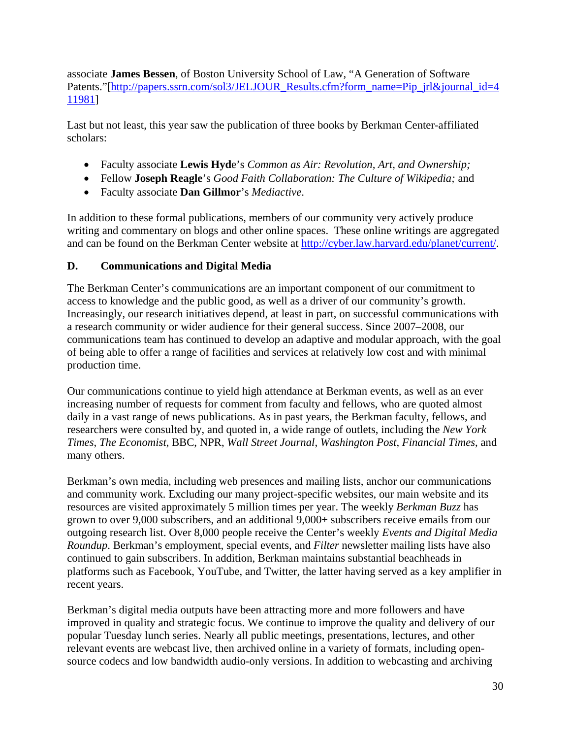associate **James Bessen**, of Boston University School of Law, "A Generation of Software Patents."[http://papers.ssrn.com/sol3/JELJOUR\_Results.cfm?form\_name=Pip\_jrl&journal\_id=4 11981]

Last but not least, this year saw the publication of three books by Berkman Center-affiliated scholars:

- Faculty associate **Lewis Hyd**e's *Common as Air: Revolution, Art, and Ownership;*
- Fellow **Joseph Reagle**'s *Good Faith Collaboration: The Culture of Wikipedia;* and
- Faculty associate **Dan Gillmor**'s *Mediactive*.

In addition to these formal publications, members of our community very actively produce writing and commentary on blogs and other online spaces. These online writings are aggregated and can be found on the Berkman Center website at http://cyber.law.harvard.edu/planet/current/.

# **D. Communications and Digital Media**

The Berkman Center's communications are an important component of our commitment to access to knowledge and the public good, as well as a driver of our community's growth. Increasingly, our research initiatives depend, at least in part, on successful communications with a research community or wider audience for their general success. Since 2007–2008, our communications team has continued to develop an adaptive and modular approach, with the goal of being able to offer a range of facilities and services at relatively low cost and with minimal production time.

Our communications continue to yield high attendance at Berkman events, as well as an ever increasing number of requests for comment from faculty and fellows, who are quoted almost daily in a vast range of news publications. As in past years, the Berkman faculty, fellows, and researchers were consulted by, and quoted in, a wide range of outlets, including the *New York Times*, *The Economist*, BBC, NPR, *Wall Street Journal*, *Washington Post*, *Financial Times*, and many others.

Berkman's own media, including web presences and mailing lists, anchor our communications and community work. Excluding our many project-specific websites, our main website and its resources are visited approximately 5 million times per year. The weekly *Berkman Buzz* has grown to over 9,000 subscribers, and an additional 9,000+ subscribers receive emails from our outgoing research list. Over 8,000 people receive the Center's weekly *Events and Digital Media Roundup*. Berkman's employment, special events, and *Filter* newsletter mailing lists have also continued to gain subscribers. In addition, Berkman maintains substantial beachheads in platforms such as Facebook, YouTube, and Twitter, the latter having served as a key amplifier in recent years.

Berkman's digital media outputs have been attracting more and more followers and have improved in quality and strategic focus. We continue to improve the quality and delivery of our popular Tuesday lunch series. Nearly all public meetings, presentations, lectures, and other relevant events are webcast live, then archived online in a variety of formats, including opensource codecs and low bandwidth audio-only versions. In addition to webcasting and archiving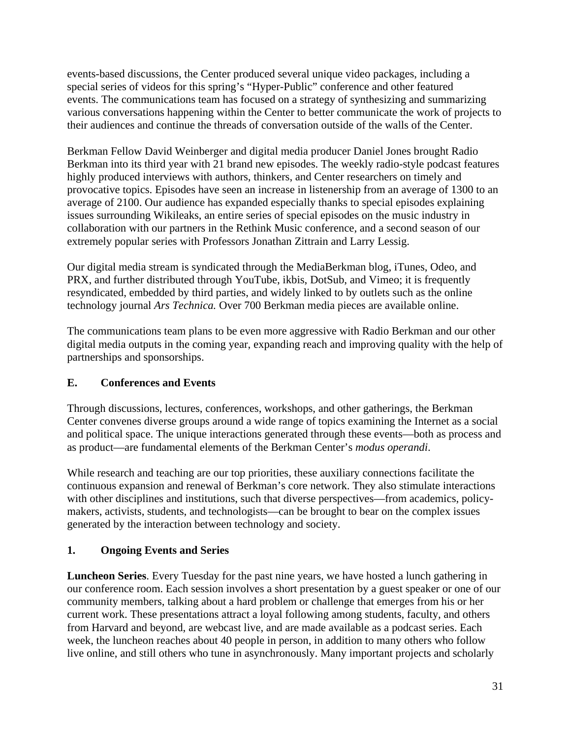events-based discussions, the Center produced several unique video packages, including a special series of videos for this spring's "Hyper-Public" conference and other featured events. The communications team has focused on a strategy of synthesizing and summarizing various conversations happening within the Center to better communicate the work of projects to their audiences and continue the threads of conversation outside of the walls of the Center.

Berkman Fellow David Weinberger and digital media producer Daniel Jones brought Radio Berkman into its third year with 21 brand new episodes. The weekly radio-style podcast features highly produced interviews with authors, thinkers, and Center researchers on timely and provocative topics. Episodes have seen an increase in listenership from an average of 1300 to an average of 2100. Our audience has expanded especially thanks to special episodes explaining issues surrounding Wikileaks, an entire series of special episodes on the music industry in collaboration with our partners in the Rethink Music conference, and a second season of our extremely popular series with Professors Jonathan Zittrain and Larry Lessig.

Our digital media stream is syndicated through the MediaBerkman blog, iTunes, Odeo, and PRX, and further distributed through YouTube, ikbis, DotSub, and Vimeo; it is frequently resyndicated, embedded by third parties, and widely linked to by outlets such as the online technology journal *Ars Technica.* Over 700 Berkman media pieces are available online.

The communications team plans to be even more aggressive with Radio Berkman and our other digital media outputs in the coming year, expanding reach and improving quality with the help of partnerships and sponsorships.

# **E. Conferences and Events**

Through discussions, lectures, conferences, workshops, and other gatherings, the Berkman Center convenes diverse groups around a wide range of topics examining the Internet as a social and political space. The unique interactions generated through these events—both as process and as product—are fundamental elements of the Berkman Center's *modus operandi*.

While research and teaching are our top priorities, these auxiliary connections facilitate the continuous expansion and renewal of Berkman's core network. They also stimulate interactions with other disciplines and institutions, such that diverse perspectives—from academics, policymakers, activists, students, and technologists—can be brought to bear on the complex issues generated by the interaction between technology and society.

# **1. Ongoing Events and Series**

**Luncheon Series**. Every Tuesday for the past nine years, we have hosted a lunch gathering in our conference room. Each session involves a short presentation by a guest speaker or one of our community members, talking about a hard problem or challenge that emerges from his or her current work. These presentations attract a loyal following among students, faculty, and others from Harvard and beyond, are webcast live, and are made available as a podcast series. Each week, the luncheon reaches about 40 people in person, in addition to many others who follow live online, and still others who tune in asynchronously. Many important projects and scholarly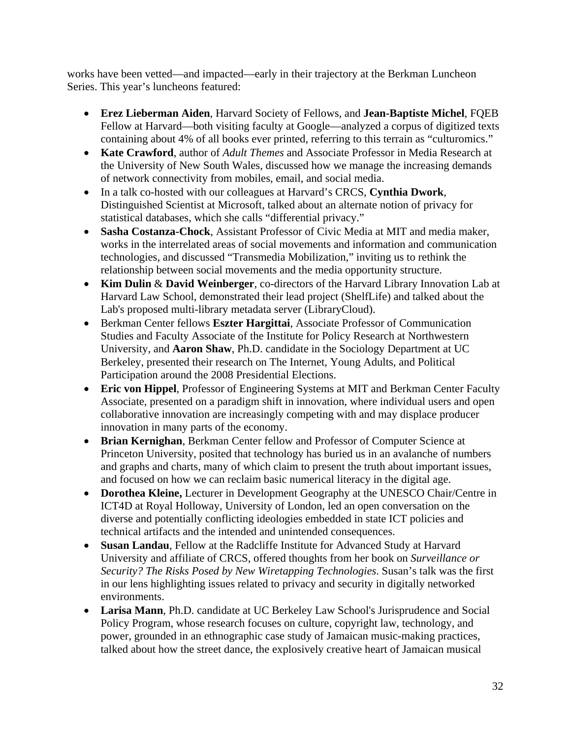works have been vetted—and impacted—early in their trajectory at the Berkman Luncheon Series. This year's luncheons featured:

- **Erez Lieberman Aiden**, Harvard Society of Fellows, and **Jean-Baptiste Michel**, FQEB Fellow at Harvard—both visiting faculty at Google—analyzed a corpus of digitized texts containing about 4% of all books ever printed, referring to this terrain as "culturomics."
- **Kate Crawford**, author of *Adult Themes* and Associate Professor in Media Research at the University of New South Wales, discussed how we manage the increasing demands of network connectivity from mobiles, email, and social media.
- In a talk co-hosted with our colleagues at Harvard's CRCS, **Cynthia Dwork**, Distinguished Scientist at Microsoft, talked about an alternate notion of privacy for statistical databases, which she calls "differential privacy."
- **Sasha Costanza-Chock**, Assistant Professor of Civic Media at MIT and media maker, works in the interrelated areas of social movements and information and communication technologies, and discussed "Transmedia Mobilization," inviting us to rethink the relationship between social movements and the media opportunity structure.
- **Kim Dulin** & **David Weinberger**, co-directors of the Harvard Library Innovation Lab at Harvard Law School, demonstrated their lead project (ShelfLife) and talked about the Lab's proposed multi-library metadata server (LibraryCloud).
- Berkman Center fellows **Eszter Hargittai**, Associate Professor of Communication Studies and Faculty Associate of the Institute for Policy Research at Northwestern University, and **Aaron Shaw**, Ph.D. candidate in the Sociology Department at UC Berkeley, presented their research on The Internet, Young Adults, and Political Participation around the 2008 Presidential Elections.
- **Eric von Hippel**, Professor of Engineering Systems at MIT and Berkman Center Faculty Associate, presented on a paradigm shift in innovation, where individual users and open collaborative innovation are increasingly competing with and may displace producer innovation in many parts of the economy.
- **Brian Kernighan**, Berkman Center fellow and Professor of Computer Science at Princeton University, posited that technology has buried us in an avalanche of numbers and graphs and charts, many of which claim to present the truth about important issues, and focused on how we can reclaim basic numerical literacy in the digital age.
- **Dorothea Kleine,** Lecturer in Development Geography at the UNESCO Chair/Centre in ICT4D at Royal Holloway, University of London, led an open conversation on the diverse and potentially conflicting ideologies embedded in state ICT policies and technical artifacts and the intended and unintended consequences.
- **Susan Landau**, Fellow at the Radcliffe Institute for Advanced Study at Harvard University and affiliate of CRCS, offered thoughts from her book on *Surveillance or Security? The Risks Posed by New Wiretapping Technologies*. Susan's talk was the first in our lens highlighting issues related to privacy and security in digitally networked environments.
- **Larisa Mann**, Ph.D. candidate at UC Berkeley Law School's Jurisprudence and Social Policy Program, whose research focuses on culture, copyright law, technology, and power, grounded in an ethnographic case study of Jamaican music-making practices, talked about how the street dance, the explosively creative heart of Jamaican musical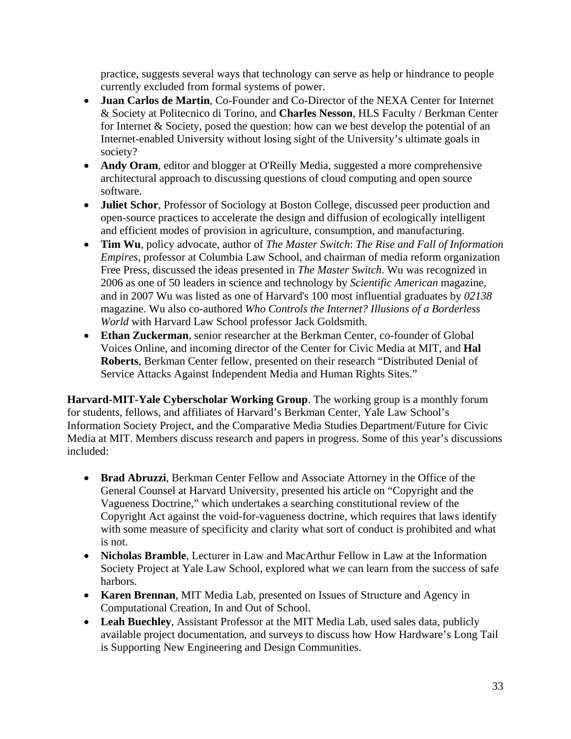practice, suggests several ways that technology can serve as help or hindrance to people currently excluded from formal systems of power.

- **Juan Carlos de Martin**, Co-Founder and Co-Director of the NEXA Center for Internet & Society at Politecnico di Torino, and **Charles Nesson**, HLS Faculty / Berkman Center for Internet & Society, posed the question: how can we best develop the potential of an Internet-enabled University without losing sight of the University's ultimate goals in society?
- **Andy Oram**, editor and blogger at O'Reilly Media, suggested a more comprehensive architectural approach to discussing questions of cloud computing and open source software.
- **Juliet Schor**, Professor of Sociology at Boston College, discussed peer production and open-source practices to accelerate the design and diffusion of ecologically intelligent and efficient modes of provision in agriculture, consumption, and manufacturing.
- **Tim Wu**, policy advocate, author of *The Master Switch*: *The Rise and Fall of Information Empires*, professor at Columbia Law School, and chairman of media reform organization Free Press, discussed the ideas presented in *The Master Switch*. Wu was recognized in 2006 as one of 50 leaders in science and technology by *Scientific American* magazine, and in 2007 Wu was listed as one of Harvard's 100 most influential graduates by *02138* magazine. Wu also co-authored *Who Controls the Internet? Illusions of a Borderless World* with Harvard Law School professor Jack Goldsmith.
- **Ethan Zuckerman**, senior researcher at the Berkman Center, co-founder of Global Voices Online, and incoming director of the Center for Civic Media at MIT, and **Hal Roberts**, Berkman Center fellow, presented on their research "Distributed Denial of Service Attacks Against Independent Media and Human Rights Sites."

**Harvard-MIT-Yale Cyberscholar Working Group**. The working group is a monthly forum for students, fellows, and affiliates of Harvard's Berkman Center, Yale Law School's Information Society Project, and the Comparative Media Studies Department/Future for Civic Media at MIT. Members discuss research and papers in progress. Some of this year's discussions included:

- **Brad Abruzzi**, Berkman Center Fellow and Associate Attorney in the Office of the General Counsel at Harvard University, presented his article on "Copyright and the Vagueness Doctrine," which undertakes a searching constitutional review of the Copyright Act against the void-for-vagueness doctrine, which requires that laws identify with some measure of specificity and clarity what sort of conduct is prohibited and what is not.
- **Nicholas Bramble**, Lecturer in Law and MacArthur Fellow in Law at the Information Society Project at Yale Law School, explored what we can learn from the success of safe harbors.
- **Karen Brennan**, MIT Media Lab, presented on Issues of Structure and Agency in Computational Creation, In and Out of School.
- **Leah Buechley**, Assistant Professor at the MIT Media Lab, used sales data, publicly available project documentation, and surveys to discuss how How Hardware's Long Tail is Supporting New Engineering and Design Communities.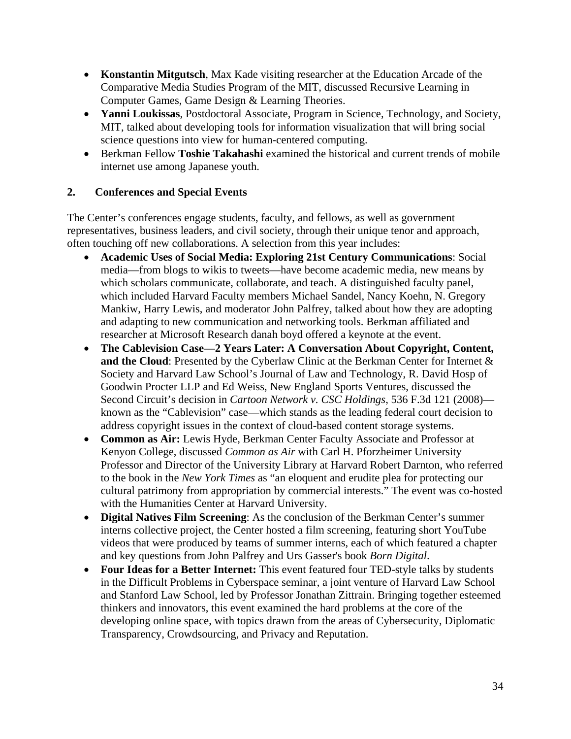- **Konstantin Mitgutsch**, Max Kade visiting researcher at the Education Arcade of the Comparative Media Studies Program of the MIT, discussed Recursive Learning in Computer Games, Game Design & Learning Theories.
- **Yanni Loukissas**, Postdoctoral Associate, Program in Science, Technology, and Society, MIT, talked about developing tools for information visualization that will bring social science questions into view for human-centered computing.
- Berkman Fellow **Toshie Takahashi** examined the historical and current trends of mobile internet use among Japanese youth.

# **2. Conferences and Special Events**

The Center's conferences engage students, faculty, and fellows, as well as government representatives, business leaders, and civil society, through their unique tenor and approach, often touching off new collaborations. A selection from this year includes:

- **Academic Uses of Social Media: Exploring 21st Century Communications**: Social media—from blogs to wikis to tweets—have become academic media, new means by which scholars communicate, collaborate, and teach. A distinguished faculty panel, which included Harvard Faculty members Michael Sandel, Nancy Koehn, N. Gregory Mankiw, Harry Lewis, and moderator John Palfrey, talked about how they are adopting and adapting to new communication and networking tools. Berkman affiliated and researcher at Microsoft Research danah boyd offered a keynote at the event.
- **The Cablevision Case—2 Years Later: A Conversation About Copyright, Content, and the Cloud**: Presented by the Cyberlaw Clinic at the Berkman Center for Internet & Society and Harvard Law School's Journal of Law and Technology, R. David Hosp of Goodwin Procter LLP and Ed Weiss, New England Sports Ventures, discussed the Second Circuit's decision in *Cartoon Network v. CSC Holdings*, 536 F.3d 121 (2008) known as the "Cablevision" case—which stands as the leading federal court decision to address copyright issues in the context of cloud-based content storage systems.
- **Common as Air:** Lewis Hyde, Berkman Center Faculty Associate and Professor at Kenyon College, discussed *Common as Air* with Carl H. Pforzheimer University Professor and Director of the University Library at Harvard Robert Darnton, who referred to the book in the *New York Times* as "an eloquent and erudite plea for protecting our cultural patrimony from appropriation by commercial interests." The event was co-hosted with the Humanities Center at Harvard University.
- **Digital Natives Film Screening**: As the conclusion of the Berkman Center's summer interns collective project, the Center hosted a film screening, featuring short YouTube videos that were produced by teams of summer interns, each of which featured a chapter and key questions from John Palfrey and Urs Gasser's book *Born Digital*.
- **Four Ideas for a Better Internet:** This event featured four TED-style talks by students in the Difficult Problems in Cyberspace seminar, a joint venture of Harvard Law School and Stanford Law School, led by Professor Jonathan Zittrain. Bringing together esteemed thinkers and innovators, this event examined the hard problems at the core of the developing online space, with topics drawn from the areas of Cybersecurity, Diplomatic Transparency, Crowdsourcing, and Privacy and Reputation.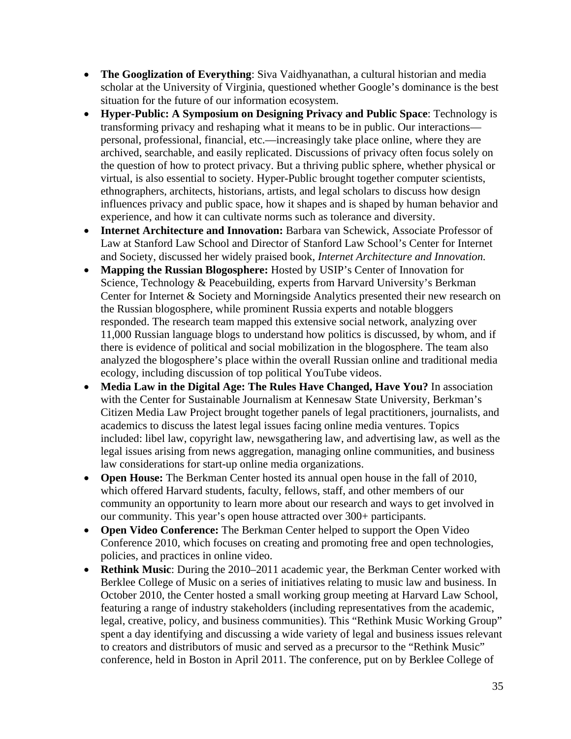- **The Googlization of Everything**: Siva Vaidhyanathan, a cultural historian and media scholar at the University of Virginia, questioned whether Google's dominance is the best situation for the future of our information ecosystem.
- **Hyper-Public: A Symposium on Designing Privacy and Public Space**: Technology is transforming privacy and reshaping what it means to be in public. Our interactions personal, professional, financial, etc.—increasingly take place online, where they are archived, searchable, and easily replicated. Discussions of privacy often focus solely on the question of how to protect privacy. But a thriving public sphere, whether physical or virtual, is also essential to society. Hyper-Public brought together computer scientists, ethnographers, architects, historians, artists, and legal scholars to discuss how design influences privacy and public space, how it shapes and is shaped by human behavior and experience, and how it can cultivate norms such as tolerance and diversity.
- **Internet Architecture and Innovation:** Barbara van Schewick, Associate Professor of Law at Stanford Law School and Director of Stanford Law School's Center for Internet and Society, discussed her widely praised book, *Internet Architecture and Innovation*.
- **Mapping the Russian Blogosphere:** Hosted by USIP's Center of Innovation for Science, Technology & Peacebuilding, experts from Harvard University's Berkman Center for Internet & Society and Morningside Analytics presented their new research on the Russian blogosphere, while prominent Russia experts and notable bloggers responded. The research team mapped this extensive social network, analyzing over 11,000 Russian language blogs to understand how politics is discussed, by whom, and if there is evidence of political and social mobilization in the blogosphere. The team also analyzed the blogosphere's place within the overall Russian online and traditional media ecology, including discussion of top political YouTube videos.
- **Media Law in the Digital Age: The Rules Have Changed, Have You?** In association with the Center for Sustainable Journalism at Kennesaw State University, Berkman's Citizen Media Law Project brought together panels of legal practitioners, journalists, and academics to discuss the latest legal issues facing online media ventures. Topics included: libel law, copyright law, newsgathering law, and advertising law, as well as the legal issues arising from news aggregation, managing online communities, and business law considerations for start-up online media organizations.
- **Open House:** The Berkman Center hosted its annual open house in the fall of 2010, which offered Harvard students, faculty, fellows, staff, and other members of our community an opportunity to learn more about our research and ways to get involved in our community. This year's open house attracted over 300+ participants.
- **Open Video Conference:** The Berkman Center helped to support the Open Video Conference 2010, which focuses on creating and promoting free and open technologies, policies, and practices in online video.
- **Rethink Music**: During the 2010–2011 academic year, the Berkman Center worked with Berklee College of Music on a series of initiatives relating to music law and business. In October 2010, the Center hosted a small working group meeting at Harvard Law School, featuring a range of industry stakeholders (including representatives from the academic, legal, creative, policy, and business communities). This "Rethink Music Working Group" spent a day identifying and discussing a wide variety of legal and business issues relevant to creators and distributors of music and served as a precursor to the "Rethink Music" conference, held in Boston in April 2011. The conference, put on by Berklee College of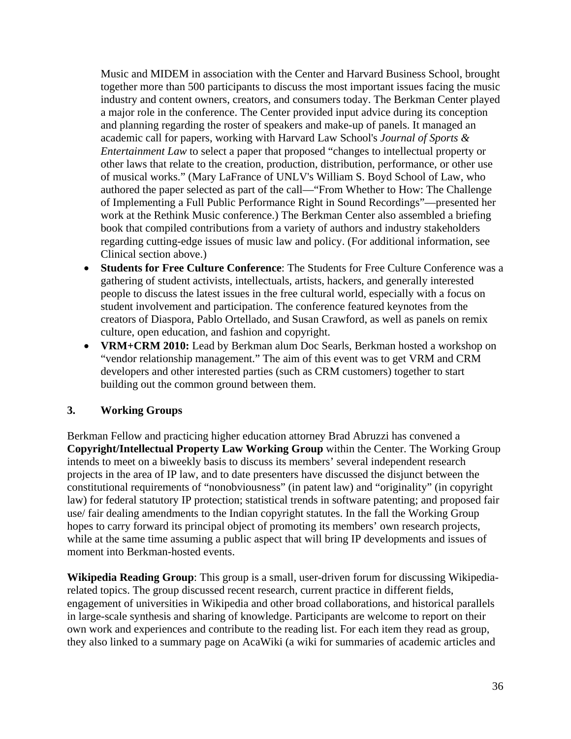Music and MIDEM in association with the Center and Harvard Business School, brought together more than 500 participants to discuss the most important issues facing the music industry and content owners, creators, and consumers today. The Berkman Center played a major role in the conference. The Center provided input advice during its conception and planning regarding the roster of speakers and make-up of panels. It managed an academic call for papers, working with Harvard Law School's *Journal of Sports & Entertainment Law* to select a paper that proposed "changes to intellectual property or other laws that relate to the creation, production, distribution, performance, or other use of musical works." (Mary LaFrance of UNLV's William S. Boyd School of Law, who authored the paper selected as part of the call—"From Whether to How: The Challenge of Implementing a Full Public Performance Right in Sound Recordings"—presented her work at the Rethink Music conference.) The Berkman Center also assembled a briefing book that compiled contributions from a variety of authors and industry stakeholders regarding cutting-edge issues of music law and policy. (For additional information, see Clinical section above.)

- **Students for Free Culture Conference**: The Students for Free Culture Conference was a gathering of student activists, intellectuals, artists, hackers, and generally interested people to discuss the latest issues in the free cultural world, especially with a focus on student involvement and participation. The conference featured keynotes from the creators of Diaspora, Pablo Ortellado, and Susan Crawford, as well as panels on remix culture, open education, and fashion and copyright.
- **VRM+CRM 2010:** Lead by Berkman alum Doc Searls, Berkman hosted a workshop on "vendor relationship management." The aim of this event was to get VRM and CRM developers and other interested parties (such as CRM customers) together to start building out the common ground between them.

## **3. Working Groups**

Berkman Fellow and practicing higher education attorney Brad Abruzzi has convened a **Copyright/Intellectual Property Law Working Group** within the Center. The Working Group intends to meet on a biweekly basis to discuss its members' several independent research projects in the area of IP law, and to date presenters have discussed the disjunct between the constitutional requirements of "nonobviousness" (in patent law) and "originality" (in copyright law) for federal statutory IP protection; statistical trends in software patenting; and proposed fair use/ fair dealing amendments to the Indian copyright statutes. In the fall the Working Group hopes to carry forward its principal object of promoting its members' own research projects, while at the same time assuming a public aspect that will bring IP developments and issues of moment into Berkman-hosted events.

**Wikipedia Reading Group**: This group is a small, user-driven forum for discussing Wikipediarelated topics. The group discussed recent research, current practice in different fields, engagement of universities in Wikipedia and other broad collaborations, and historical parallels in large-scale synthesis and sharing of knowledge. Participants are welcome to report on their own work and experiences and contribute to the reading list. For each item they read as group, they also linked to a summary page on AcaWiki (a wiki for summaries of academic articles and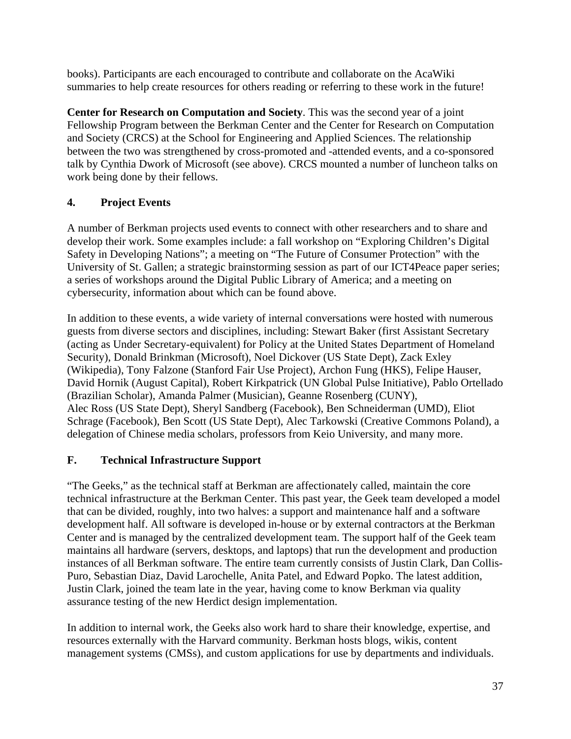books). Participants are each encouraged to contribute and collaborate on the AcaWiki summaries to help create resources for others reading or referring to these work in the future!

**Center for Research on Computation and Society**. This was the second year of a joint Fellowship Program between the Berkman Center and the Center for Research on Computation and Society (CRCS) at the School for Engineering and Applied Sciences. The relationship between the two was strengthened by cross-promoted and -attended events, and a co-sponsored talk by Cynthia Dwork of Microsoft (see above). CRCS mounted a number of luncheon talks on work being done by their fellows.

# **4. Project Events**

A number of Berkman projects used events to connect with other researchers and to share and develop their work. Some examples include: a fall workshop on "Exploring Children's Digital Safety in Developing Nations"; a meeting on "The Future of Consumer Protection" with the University of St. Gallen; a strategic brainstorming session as part of our ICT4Peace paper series; a series of workshops around the Digital Public Library of America; and a meeting on cybersecurity, information about which can be found above.

In addition to these events, a wide variety of internal conversations were hosted with numerous guests from diverse sectors and disciplines, including: Stewart Baker (first Assistant Secretary (acting as Under Secretary-equivalent) for Policy at the United States Department of Homeland Security), Donald Brinkman (Microsoft), Noel Dickover (US State Dept), Zack Exley (Wikipedia), Tony Falzone (Stanford Fair Use Project), Archon Fung (HKS), Felipe Hauser, David Hornik (August Capital), Robert Kirkpatrick (UN Global Pulse Initiative), Pablo Ortellado (Brazilian Scholar), Amanda Palmer (Musician), Geanne Rosenberg (CUNY), Alec Ross (US State Dept), Sheryl Sandberg (Facebook), Ben Schneiderman (UMD), Eliot Schrage (Facebook), Ben Scott (US State Dept), Alec Tarkowski (Creative Commons Poland), a delegation of Chinese media scholars, professors from Keio University, and many more.

# **F. Technical Infrastructure Support**

"The Geeks," as the technical staff at Berkman are affectionately called, maintain the core technical infrastructure at the Berkman Center. This past year, the Geek team developed a model that can be divided, roughly, into two halves: a support and maintenance half and a software development half. All software is developed in-house or by external contractors at the Berkman Center and is managed by the centralized development team. The support half of the Geek team maintains all hardware (servers, desktops, and laptops) that run the development and production instances of all Berkman software. The entire team currently consists of Justin Clark, Dan Collis-Puro, Sebastian Diaz, David Larochelle, Anita Patel, and Edward Popko. The latest addition, Justin Clark, joined the team late in the year, having come to know Berkman via quality assurance testing of the new Herdict design implementation.

In addition to internal work, the Geeks also work hard to share their knowledge, expertise, and resources externally with the Harvard community. Berkman hosts blogs, wikis, content management systems (CMSs), and custom applications for use by departments and individuals.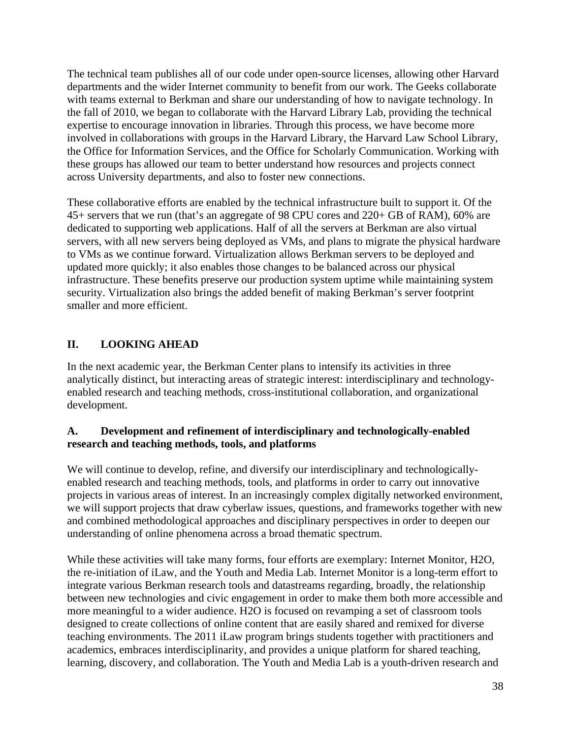The technical team publishes all of our code under open-source licenses, allowing other Harvard departments and the wider Internet community to benefit from our work. The Geeks collaborate with teams external to Berkman and share our understanding of how to navigate technology. In the fall of 2010, we began to collaborate with the Harvard Library Lab, providing the technical expertise to encourage innovation in libraries. Through this process, we have become more involved in collaborations with groups in the Harvard Library, the Harvard Law School Library, the Office for Information Services, and the Office for Scholarly Communication. Working with these groups has allowed our team to better understand how resources and projects connect across University departments, and also to foster new connections.

These collaborative efforts are enabled by the technical infrastructure built to support it. Of the 45+ servers that we run (that's an aggregate of 98 CPU cores and 220+ GB of RAM), 60% are dedicated to supporting web applications. Half of all the servers at Berkman are also virtual servers, with all new servers being deployed as VMs, and plans to migrate the physical hardware to VMs as we continue forward. Virtualization allows Berkman servers to be deployed and updated more quickly; it also enables those changes to be balanced across our physical infrastructure. These benefits preserve our production system uptime while maintaining system security. Virtualization also brings the added benefit of making Berkman's server footprint smaller and more efficient.

# **II. LOOKING AHEAD**

In the next academic year, the Berkman Center plans to intensify its activities in three analytically distinct, but interacting areas of strategic interest: interdisciplinary and technologyenabled research and teaching methods, cross-institutional collaboration, and organizational development.

## **A. Development and refinement of interdisciplinary and technologically-enabled research and teaching methods, tools, and platforms**

We will continue to develop, refine, and diversify our interdisciplinary and technologicallyenabled research and teaching methods, tools, and platforms in order to carry out innovative projects in various areas of interest. In an increasingly complex digitally networked environment, we will support projects that draw cyberlaw issues, questions, and frameworks together with new and combined methodological approaches and disciplinary perspectives in order to deepen our understanding of online phenomena across a broad thematic spectrum.

While these activities will take many forms, four efforts are exemplary: Internet Monitor, H2O, the re-initiation of iLaw, and the Youth and Media Lab. Internet Monitor is a long-term effort to integrate various Berkman research tools and datastreams regarding, broadly, the relationship between new technologies and civic engagement in order to make them both more accessible and more meaningful to a wider audience. H2O is focused on revamping a set of classroom tools designed to create collections of online content that are easily shared and remixed for diverse teaching environments. The 2011 iLaw program brings students together with practitioners and academics, embraces interdisciplinarity, and provides a unique platform for shared teaching, learning, discovery, and collaboration. The Youth and Media Lab is a youth-driven research and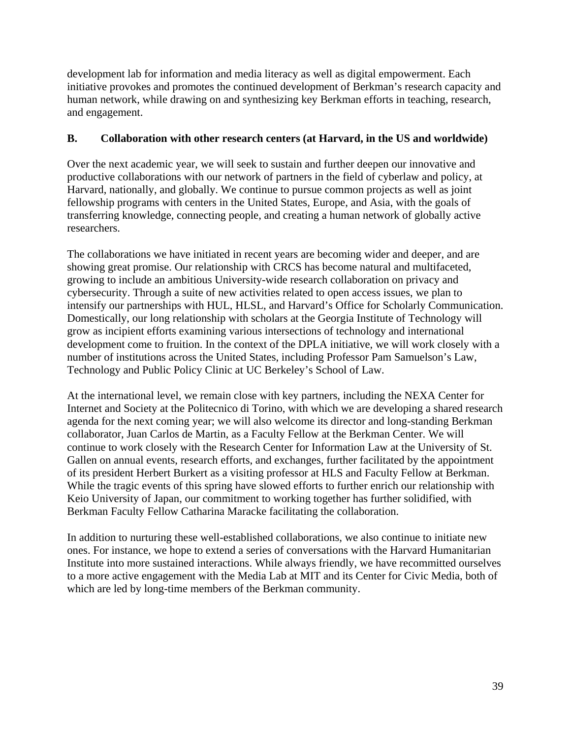development lab for information and media literacy as well as digital empowerment. Each initiative provokes and promotes the continued development of Berkman's research capacity and human network, while drawing on and synthesizing key Berkman efforts in teaching, research, and engagement.

## **B. Collaboration with other research centers (at Harvard, in the US and worldwide)**

Over the next academic year, we will seek to sustain and further deepen our innovative and productive collaborations with our network of partners in the field of cyberlaw and policy, at Harvard, nationally, and globally. We continue to pursue common projects as well as joint fellowship programs with centers in the United States, Europe, and Asia, with the goals of transferring knowledge, connecting people, and creating a human network of globally active researchers.

The collaborations we have initiated in recent years are becoming wider and deeper, and are showing great promise. Our relationship with CRCS has become natural and multifaceted, growing to include an ambitious University-wide research collaboration on privacy and cybersecurity. Through a suite of new activities related to open access issues, we plan to intensify our partnerships with HUL, HLSL, and Harvard's Office for Scholarly Communication. Domestically, our long relationship with scholars at the Georgia Institute of Technology will grow as incipient efforts examining various intersections of technology and international development come to fruition. In the context of the DPLA initiative, we will work closely with a number of institutions across the United States, including Professor Pam Samuelson's Law, Technology and Public Policy Clinic at UC Berkeley's School of Law.

At the international level, we remain close with key partners, including the NEXA Center for Internet and Society at the Politecnico di Torino, with which we are developing a shared research agenda for the next coming year; we will also welcome its director and long-standing Berkman collaborator, Juan Carlos de Martin, as a Faculty Fellow at the Berkman Center. We will continue to work closely with the Research Center for Information Law at the University of St. Gallen on annual events, research efforts, and exchanges, further facilitated by the appointment of its president Herbert Burkert as a visiting professor at HLS and Faculty Fellow at Berkman. While the tragic events of this spring have slowed efforts to further enrich our relationship with Keio University of Japan, our commitment to working together has further solidified, with Berkman Faculty Fellow Catharina Maracke facilitating the collaboration.

In addition to nurturing these well-established collaborations, we also continue to initiate new ones. For instance, we hope to extend a series of conversations with the Harvard Humanitarian Institute into more sustained interactions. While always friendly, we have recommitted ourselves to a more active engagement with the Media Lab at MIT and its Center for Civic Media, both of which are led by long-time members of the Berkman community.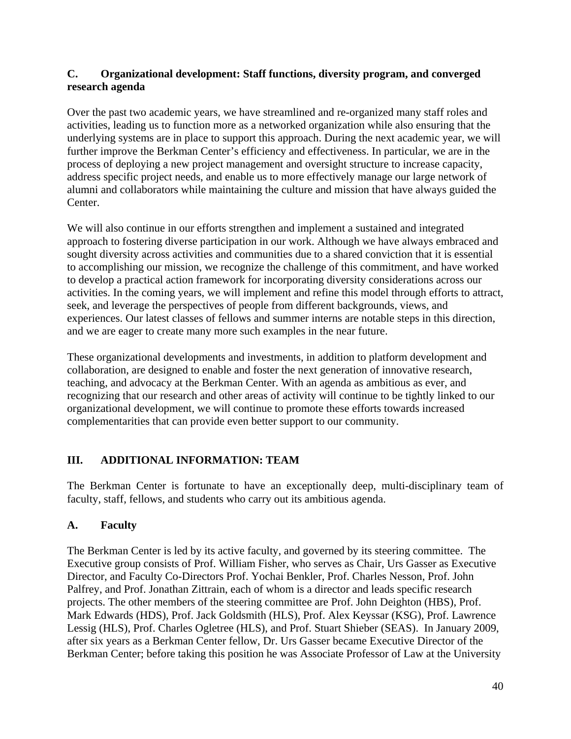## **C. Organizational development: Staff functions, diversity program, and converged research agenda**

Over the past two academic years, we have streamlined and re-organized many staff roles and activities, leading us to function more as a networked organization while also ensuring that the underlying systems are in place to support this approach. During the next academic year, we will further improve the Berkman Center's efficiency and effectiveness. In particular, we are in the process of deploying a new project management and oversight structure to increase capacity, address specific project needs, and enable us to more effectively manage our large network of alumni and collaborators while maintaining the culture and mission that have always guided the Center.

We will also continue in our efforts strengthen and implement a sustained and integrated approach to fostering diverse participation in our work. Although we have always embraced and sought diversity across activities and communities due to a shared conviction that it is essential to accomplishing our mission, we recognize the challenge of this commitment, and have worked to develop a practical action framework for incorporating diversity considerations across our activities. In the coming years, we will implement and refine this model through efforts to attract, seek, and leverage the perspectives of people from different backgrounds, views, and experiences. Our latest classes of fellows and summer interns are notable steps in this direction, and we are eager to create many more such examples in the near future.

These organizational developments and investments, in addition to platform development and collaboration, are designed to enable and foster the next generation of innovative research, teaching, and advocacy at the Berkman Center. With an agenda as ambitious as ever, and recognizing that our research and other areas of activity will continue to be tightly linked to our organizational development, we will continue to promote these efforts towards increased complementarities that can provide even better support to our community.

# **III. ADDITIONAL INFORMATION: TEAM**

The Berkman Center is fortunate to have an exceptionally deep, multi-disciplinary team of faculty, staff, fellows, and students who carry out its ambitious agenda.

## **A. Faculty**

The Berkman Center is led by its active faculty, and governed by its steering committee. The Executive group consists of Prof. William Fisher, who serves as Chair, Urs Gasser as Executive Director, and Faculty Co-Directors Prof. Yochai Benkler, Prof. Charles Nesson, Prof. John Palfrey, and Prof. Jonathan Zittrain, each of whom is a director and leads specific research projects. The other members of the steering committee are Prof. John Deighton (HBS), Prof. Mark Edwards (HDS), Prof. Jack Goldsmith (HLS), Prof. Alex Keyssar (KSG), Prof. Lawrence Lessig (HLS), Prof. Charles Ogletree (HLS), and Prof. Stuart Shieber (SEAS). In January 2009, after six years as a Berkman Center fellow, Dr. Urs Gasser became Executive Director of the Berkman Center; before taking this position he was Associate Professor of Law at the University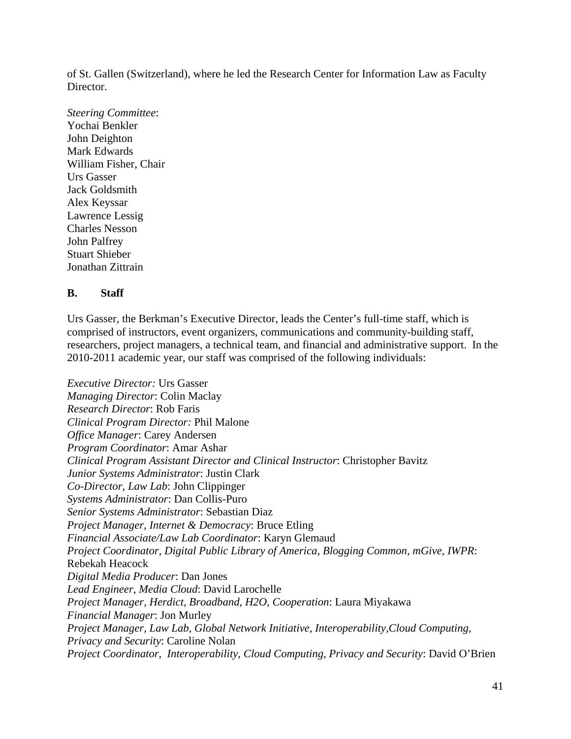of St. Gallen (Switzerland), where he led the Research Center for Information Law as Faculty Director.

*Steering Committee*: Yochai Benkler John Deighton Mark Edwards William Fisher, Chair Urs Gasser Jack Goldsmith Alex Keyssar Lawrence Lessig Charles Nesson John Palfrey Stuart Shieber Jonathan Zittrain

#### **B. Staff**

Urs Gasser, the Berkman's Executive Director, leads the Center's full-time staff, which is comprised of instructors, event organizers, communications and community-building staff, researchers, project managers, a technical team, and financial and administrative support. In the 2010-2011 academic year, our staff was comprised of the following individuals:

*Executive Director:* Urs Gasser *Managing Director*: Colin Maclay *Research Director*: Rob Faris *Clinical Program Director:* Phil Malone *Office Manager*: Carey Andersen *Program Coordinator*: Amar Ashar *Clinical Program Assistant Director and Clinical Instructor*: Christopher Bavitz *Junior Systems Administrator*: Justin Clark *Co-Director, Law Lab*: John Clippinger *Systems Administrator*: Dan Collis-Puro *Senior Systems Administrator*: Sebastian Diaz *Project Manager, Internet & Democracy*: Bruce Etling *Financial Associate/Law Lab Coordinator*: Karyn Glemaud *Project Coordinator, Digital Public Library of America, Blogging Common, mGive, IWPR*: Rebekah Heacock *Digital Media Producer*: Dan Jones *Lead Engineer, Media Cloud*: David Larochelle *Project Manager, Herdict, Broadband, H2O, Cooperation*: Laura Miyakawa *Financial Manager*: Jon Murley *Project Manager, Law Lab, Global Network Initiative, Interoperability,Cloud Computing, Privacy and Security*: Caroline Nolan *Project Coordinator, Interoperability, Cloud Computing, Privacy and Security*: David O'Brien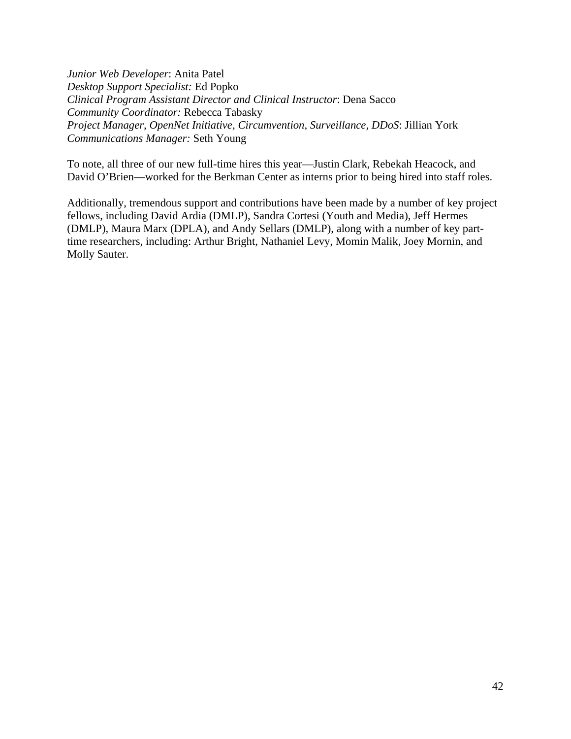*Junior Web Developer*: Anita Patel *Desktop Support Specialist:* Ed Popko *Clinical Program Assistant Director and Clinical Instructor*: Dena Sacco *Community Coordinator:* Rebecca Tabasky *Project Manager, OpenNet Initiative, Circumvention, Surveillance, DDoS*: Jillian York *Communications Manager:* Seth Young

To note, all three of our new full-time hires this year—Justin Clark, Rebekah Heacock, and David O'Brien—worked for the Berkman Center as interns prior to being hired into staff roles.

Additionally, tremendous support and contributions have been made by a number of key project fellows, including David Ardia (DMLP), Sandra Cortesi (Youth and Media), Jeff Hermes (DMLP), Maura Marx (DPLA), and Andy Sellars (DMLP), along with a number of key parttime researchers, including: Arthur Bright, Nathaniel Levy, Momin Malik, Joey Mornin, and Molly Sauter.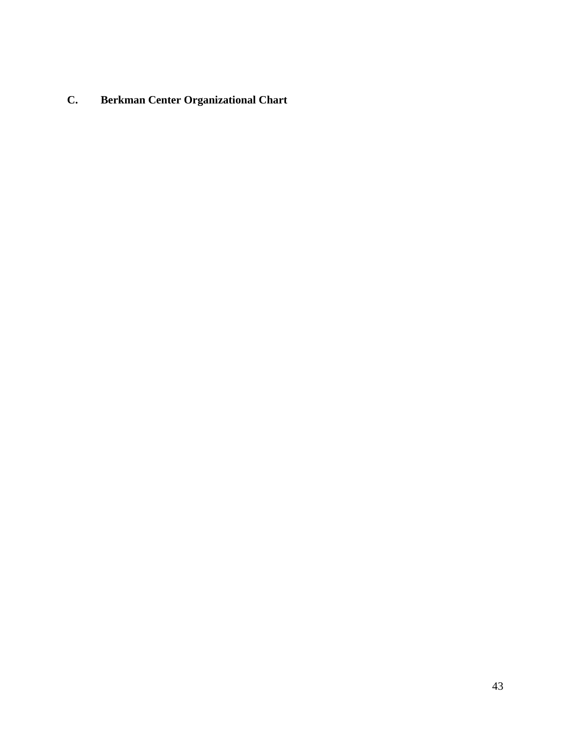# **C. Berkman Center Organizational Chart**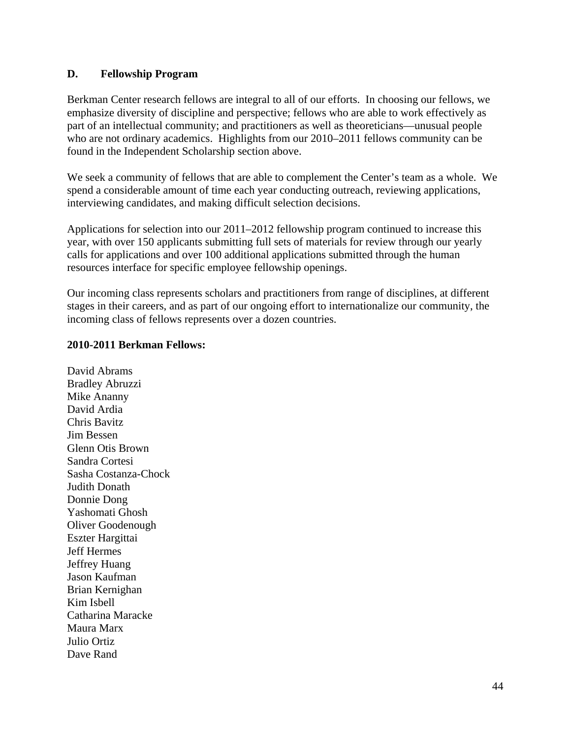#### **D. Fellowship Program**

Berkman Center research fellows are integral to all of our efforts. In choosing our fellows, we emphasize diversity of discipline and perspective; fellows who are able to work effectively as part of an intellectual community; and practitioners as well as theoreticians—unusual people who are not ordinary academics. Highlights from our 2010–2011 fellows community can be found in the Independent Scholarship section above.

We seek a community of fellows that are able to complement the Center's team as a whole. We spend a considerable amount of time each year conducting outreach, reviewing applications, interviewing candidates, and making difficult selection decisions.

Applications for selection into our 2011–2012 fellowship program continued to increase this year, with over 150 applicants submitting full sets of materials for review through our yearly calls for applications and over 100 additional applications submitted through the human resources interface for specific employee fellowship openings.

Our incoming class represents scholars and practitioners from range of disciplines, at different stages in their careers, and as part of our ongoing effort to internationalize our community, the incoming class of fellows represents over a dozen countries.

#### **2010-2011 Berkman Fellows:**

David Abrams Bradley Abruzzi Mike Ananny David Ardia Chris Bavitz Jim Bessen Glenn Otis Brown Sandra Cortesi Sasha Costanza-Chock Judith Donath Donnie Dong Yashomati Ghosh Oliver Goodenough Eszter Hargittai Jeff Hermes Jeffrey Huang Jason Kaufman Brian Kernighan Kim Isbell Catharina Maracke Maura Marx Julio Ortiz Dave Rand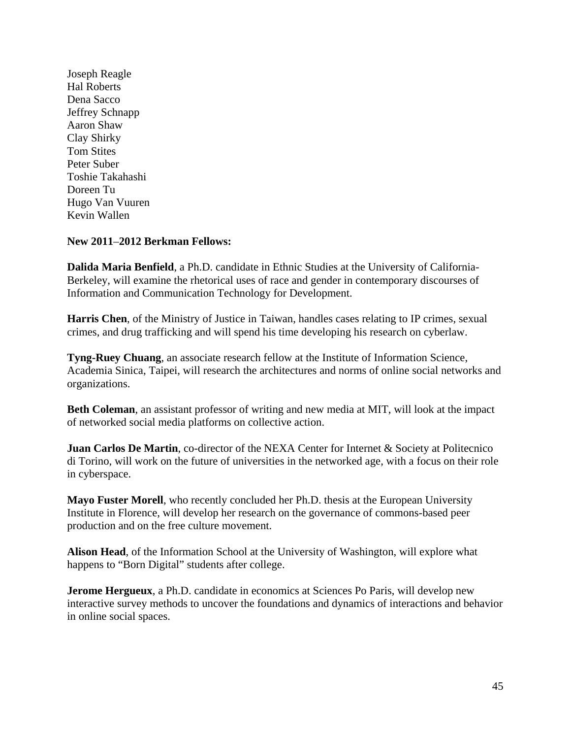Joseph Reagle Hal Roberts Dena Sacco Jeffrey Schnapp Aaron Shaw Clay Shirky Tom Stites Peter Suber Toshie Takahashi Doreen Tu Hugo Van Vuuren Kevin Wallen

#### **New 2011**–**2012 Berkman Fellows:**

**Dalida Maria Benfield**, a Ph.D. candidate in Ethnic Studies at the University of California-Berkeley, will examine the rhetorical uses of race and gender in contemporary discourses of Information and Communication Technology for Development.

**Harris Chen**, of the Ministry of Justice in Taiwan, handles cases relating to IP crimes, sexual crimes, and drug trafficking and will spend his time developing his research on cyberlaw.

**Tyng-Ruey Chuang**, an associate research fellow at the Institute of Information Science, Academia Sinica, Taipei, will research the architectures and norms of online social networks and organizations.

**Beth Coleman**, an assistant professor of writing and new media at MIT, will look at the impact of networked social media platforms on collective action.

**Juan Carlos De Martin, co-director of the NEXA Center for Internet & Society at Politecnico** di Torino, will work on the future of universities in the networked age, with a focus on their role in cyberspace.

**Mayo Fuster Morell**, who recently concluded her Ph.D. thesis at the European University Institute in Florence, will develop her research on the governance of commons-based peer production and on the free culture movement.

**Alison Head**, of the Information School at the University of Washington, will explore what happens to "Born Digital" students after college.

**Jerome Hergueux**, a Ph.D. candidate in economics at Sciences Po Paris, will develop new interactive survey methods to uncover the foundations and dynamics of interactions and behavior in online social spaces.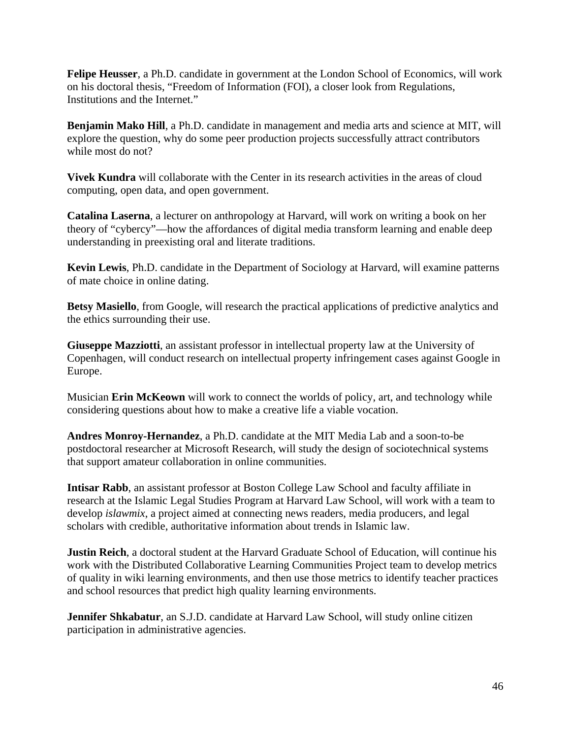**Felipe Heusser**, a Ph.D. candidate in government at the London School of Economics, will work on his doctoral thesis, "Freedom of Information (FOI), a closer look from Regulations, Institutions and the Internet."

**Benjamin Mako Hill**, a Ph.D. candidate in management and media arts and science at MIT, will explore the question, why do some peer production projects successfully attract contributors while most do not?

**Vivek Kundra** will collaborate with the Center in its research activities in the areas of cloud computing, open data, and open government.

**Catalina Laserna**, a lecturer on anthropology at Harvard, will work on writing a book on her theory of "cybercy"—how the affordances of digital media transform learning and enable deep understanding in preexisting oral and literate traditions.

**Kevin Lewis**, Ph.D. candidate in the Department of Sociology at Harvard, will examine patterns of mate choice in online dating.

**Betsy Masiello**, from Google, will research the practical applications of predictive analytics and the ethics surrounding their use.

**Giuseppe Mazziotti**, an assistant professor in intellectual property law at the University of Copenhagen, will conduct research on intellectual property infringement cases against Google in Europe.

Musician **Erin McKeown** will work to connect the worlds of policy, art, and technology while considering questions about how to make a creative life a viable vocation.

**Andres Monroy-Hernandez**, a Ph.D. candidate at the MIT Media Lab and a soon-to-be postdoctoral researcher at Microsoft Research, will study the design of sociotechnical systems that support amateur collaboration in online communities.

**Intisar Rabb**, an assistant professor at Boston College Law School and faculty affiliate in research at the Islamic Legal Studies Program at Harvard Law School, will work with a team to develop *islawmix*, a project aimed at connecting news readers, media producers, and legal scholars with credible, authoritative information about trends in Islamic law.

**Justin Reich**, a doctoral student at the Harvard Graduate School of Education, will continue his work with the Distributed Collaborative Learning Communities Project team to develop metrics of quality in wiki learning environments, and then use those metrics to identify teacher practices and school resources that predict high quality learning environments.

**Jennifer Shkabatur**, an S.J.D. candidate at Harvard Law School, will study online citizen participation in administrative agencies.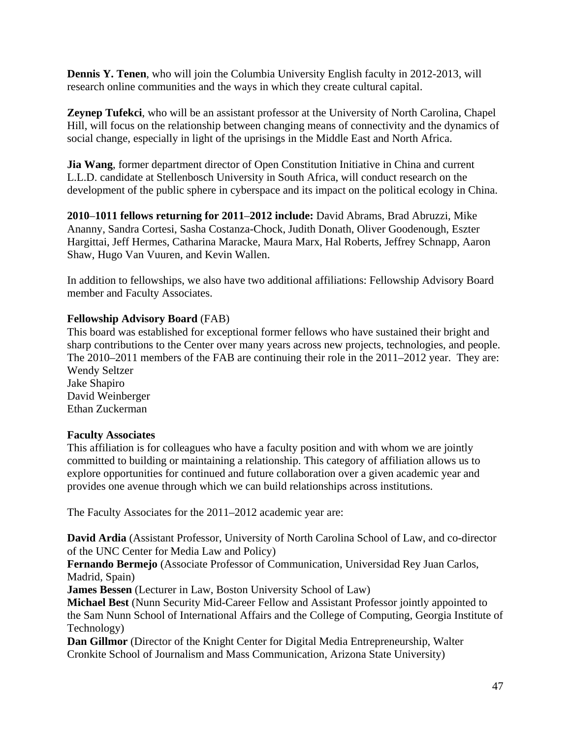**Dennis Y. Tenen**, who will join the Columbia University English faculty in 2012-2013, will research online communities and the ways in which they create cultural capital.

**Zeynep Tufekci**, who will be an assistant professor at the University of North Carolina, Chapel Hill, will focus on the relationship between changing means of connectivity and the dynamics of social change, especially in light of the uprisings in the Middle East and North Africa.

**Jia Wang**, former department director of Open Constitution Initiative in China and current L.L.D. candidate at Stellenbosch University in South Africa, will conduct research on the development of the public sphere in cyberspace and its impact on the political ecology in China.

**2010**–**1011 fellows returning for 2011**–**2012 include:** David Abrams, Brad Abruzzi, Mike Ananny, Sandra Cortesi, Sasha Costanza-Chock, Judith Donath, Oliver Goodenough, Eszter Hargittai, Jeff Hermes, Catharina Maracke, Maura Marx, Hal Roberts, Jeffrey Schnapp, Aaron Shaw, Hugo Van Vuuren, and Kevin Wallen.

In addition to fellowships, we also have two additional affiliations: Fellowship Advisory Board member and Faculty Associates.

## **Fellowship Advisory Board** (FAB)

This board was established for exceptional former fellows who have sustained their bright and sharp contributions to the Center over many years across new projects, technologies, and people. The 2010–2011 members of the FAB are continuing their role in the 2011–2012 year. They are: Wendy Seltzer Jake Shapiro

David Weinberger Ethan Zuckerman

#### **Faculty Associates**

This affiliation is for colleagues who have a faculty position and with whom we are jointly committed to building or maintaining a relationship. This category of affiliation allows us to explore opportunities for continued and future collaboration over a given academic year and provides one avenue through which we can build relationships across institutions.

The Faculty Associates for the 2011–2012 academic year are:

**David Ardia** (Assistant Professor, University of North Carolina School of Law, and co-director of the UNC Center for Media Law and Policy)

**Fernando Bermejo** (Associate Professor of Communication, Universidad Rey Juan Carlos, Madrid, Spain)

**James Bessen** (Lecturer in Law, Boston University School of Law)

**Michael Best** (Nunn Security Mid-Career Fellow and Assistant Professor jointly appointed to the Sam Nunn School of International Affairs and the College of Computing, Georgia Institute of Technology)

**Dan Gillmor** (Director of the Knight Center for Digital Media Entrepreneurship, Walter Cronkite School of Journalism and Mass Communication, Arizona State University)